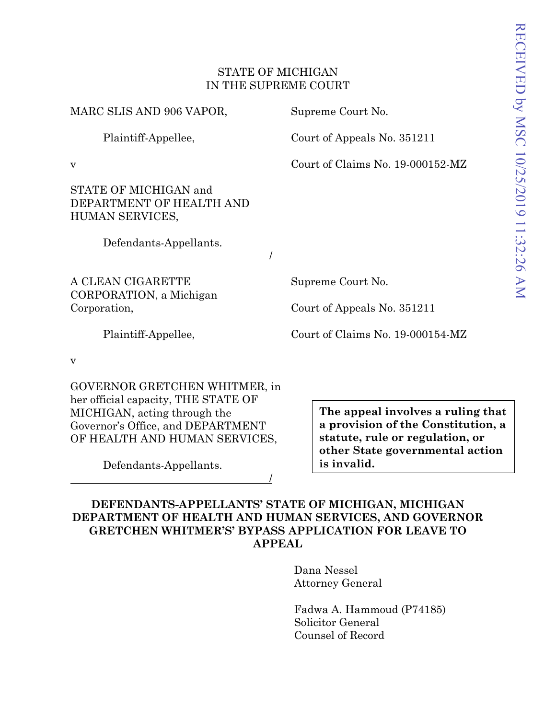### STATE OF MICHIGAN IN THE SUPREME COURT

/

MARC SLIS AND 906 VAPOR,

Plaintiff-Appellee,

Supreme Court No.

Court of Appeals No. 351211

Court of Claims No. 19-000152-MZ

STATE OF MICHIGAN and DEPARTMENT OF HEALTH AND

HUMAN SERVICES,

Defendants-Appellants.

A CLEAN CIGARETTE CORPORATION, a Michigan Corporation,

Supreme Court No.

Court of Appeals No. 351211

Plaintiff-Appellee,

Court of Claims No. 19-000154-MZ

v

v

GOVERNOR GRETCHEN WHITMER, in her official capacity, THE STATE OF MICHIGAN, acting through the Governor's Office, and DEPARTMENT OF HEALTH AND HUMAN SERVICES,

Defendants-Appellants.

**The appeal involves a ruling that a provision of the Constitution, a statute, rule or regulation, or other State governmental action is invalid.** 

**DEFENDANTS-APPELLANTS' STATE OF MICHIGAN, MICHIGAN DEPARTMENT OF HEALTH AND HUMAN SERVICES, AND GOVERNOR GRETCHEN WHITMER'S' BYPASS APPLICATION FOR LEAVE TO APPEAL**

/

Dana Nessel Attorney General

Fadwa A. Hammoud (P74185) Solicitor General Counsel of Record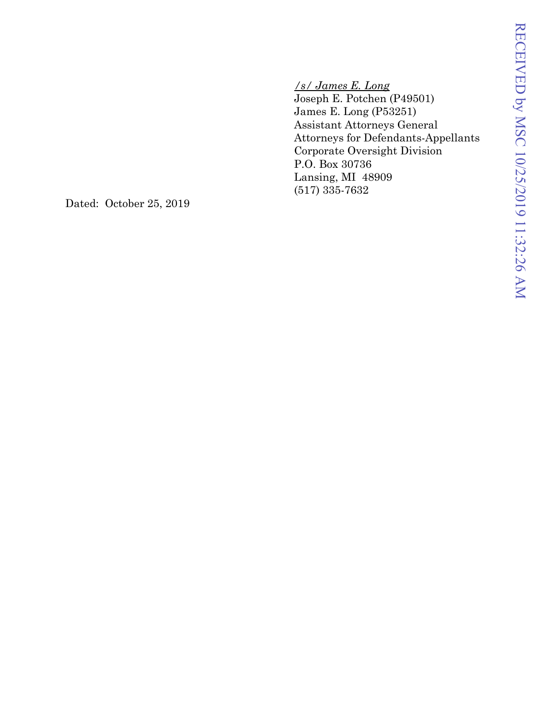*/s/ James E. Long* Joseph E. Potchen (P49501) James E. Long (P53251) Assistant Attorneys General Attorneys for Defendants -Appellants Corporate Oversight Division P.O. Box 30736 Lansing, MI 48909 (517) 335 -7632

Dated: October 25, 2019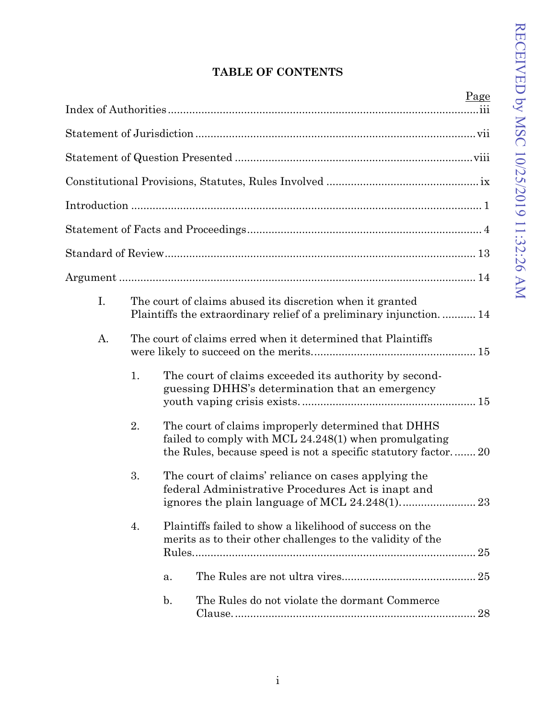# **TABLE OF CONTENTS**

|    |    |                                                                                                                                                                                 | Page |
|----|----|---------------------------------------------------------------------------------------------------------------------------------------------------------------------------------|------|
|    |    |                                                                                                                                                                                 |      |
|    |    |                                                                                                                                                                                 |      |
|    |    |                                                                                                                                                                                 |      |
|    |    |                                                                                                                                                                                 |      |
|    |    |                                                                                                                                                                                 |      |
|    |    |                                                                                                                                                                                 |      |
|    |    |                                                                                                                                                                                 |      |
| I. |    | The court of claims abused its discretion when it granted<br>Plaintiffs the extraordinary relief of a preliminary injunction 14                                                 |      |
| A. |    | The court of claims erred when it determined that Plaintiffs                                                                                                                    |      |
|    | 1. | The court of claims exceeded its authority by second-<br>guessing DHHS's determination that an emergency                                                                        |      |
|    | 2. | The court of claims improperly determined that DHHS<br>failed to comply with MCL $24.248(1)$ when promulgating<br>the Rules, because speed is not a specific statutory factor20 |      |
|    | 3. | The court of claims' reliance on cases applying the<br>federal Administrative Procedures Act is inapt and                                                                       |      |
|    | 4. | Plaintiffs failed to show a likelihood of success on the<br>merits as to their other challenges to the validity of the                                                          |      |
|    |    | a.                                                                                                                                                                              | 25   |
|    |    | $\mathbf{b}$ .<br>The Rules do not violate the dormant Commerce                                                                                                                 |      |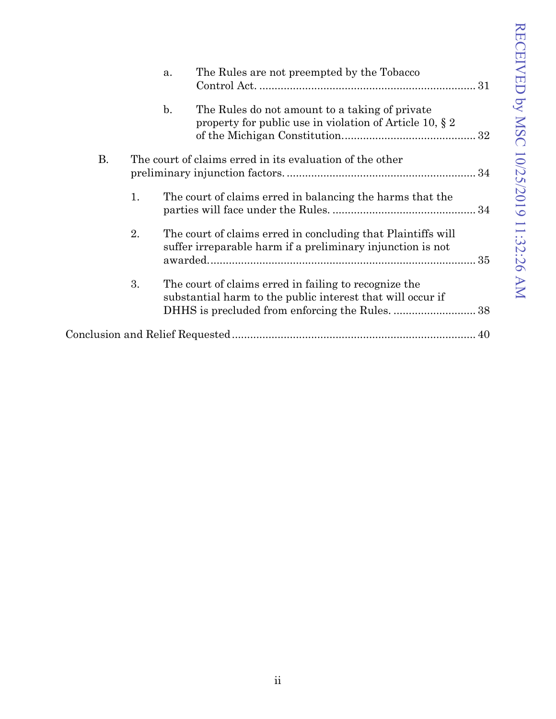|    |    | a.             | The Rules are not preempted by the Tobacco                                                                                 |  |
|----|----|----------------|----------------------------------------------------------------------------------------------------------------------------|--|
|    |    | $\mathbf{b}$ . | The Rules do not amount to a taking of private<br>property for public use in violation of Article 10, $\S 2$               |  |
| В. |    |                | The court of claims erred in its evaluation of the other                                                                   |  |
|    | 1. |                | The court of claims erred in balancing the harms that the                                                                  |  |
|    | 2. |                | The court of claims erred in concluding that Plaintiffs will<br>suffer irreparable harm if a preliminary injunction is not |  |
|    | 3. |                | The court of claims erred in failing to recognize the<br>substantial harm to the public interest that will occur if        |  |
|    |    |                |                                                                                                                            |  |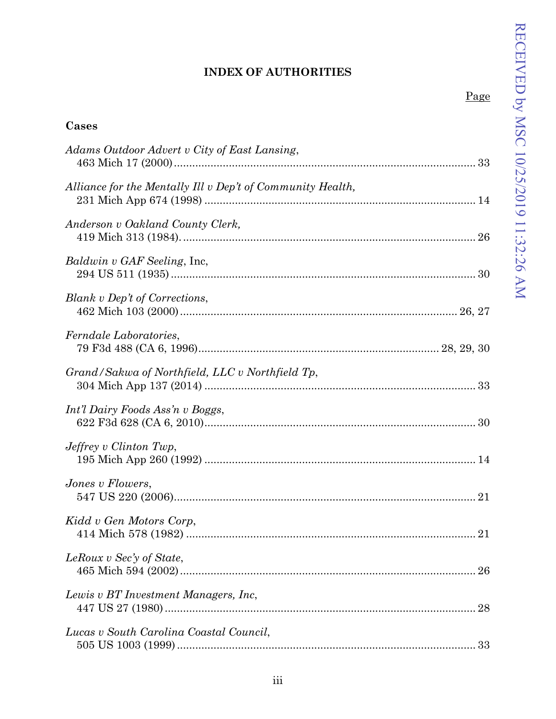## <span id="page-4-0"></span>**INDEX OF AUTHORITIES**

|--|

| Cases                                                      |  |
|------------------------------------------------------------|--|
| Adams Outdoor Advert v City of East Lansing,               |  |
| Alliance for the Mentally Ill v Dep't of Community Health, |  |
| Anderson v Oakland County Clerk,                           |  |
| <i>Baldwin v GAF Seeling</i> , Inc.                        |  |
| Blank v Dep't of Corrections,                              |  |
| Ferndale Laboratories,                                     |  |
| Grand/Sakwa of Northfield, LLC v Northfield Tp,            |  |
| Int'l Dairy Foods Ass'n v Boggs,                           |  |
| $Jeffrey$ v Clinton Twp,                                   |  |
| Jones v Flowers,                                           |  |
| Kidd v Gen Motors Corp,                                    |  |
| LeRoux v Sec'y of State,                                   |  |
| Lewis v BT Investment Managers, Inc.                       |  |
| Lucas v South Carolina Coastal Council,                    |  |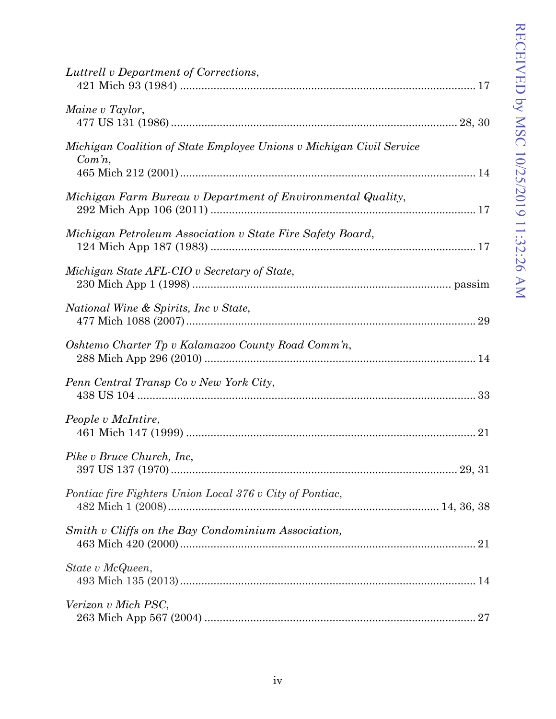| Luttrell v Department of Corrections,                                         |  |
|-------------------------------------------------------------------------------|--|
| Maine v Taylor,                                                               |  |
| Michigan Coalition of State Employee Unions v Michigan Civil Service<br>Comn, |  |
| Michigan Farm Bureau v Department of Environmental Quality,                   |  |
| Michigan Petroleum Association v State Fire Safety Board,                     |  |
| Michigan State AFL-CIO v Secretary of State,                                  |  |
| National Wine & Spirits, Inc v State,                                         |  |
| Oshtemo Charter Tp v Kalamazoo County Road Comm'n,                            |  |
| Penn Central Transp Co v New York City,                                       |  |
| People v McIntire,                                                            |  |
| Pike v Bruce Church, Inc.                                                     |  |
| Pontiac fire Fighters Union Local 376 v City of Pontiac,                      |  |
| Smith v Cliffs on the Bay Condominium Association,                            |  |
| State v McQueen,                                                              |  |
| Verizon v Mich PSC,                                                           |  |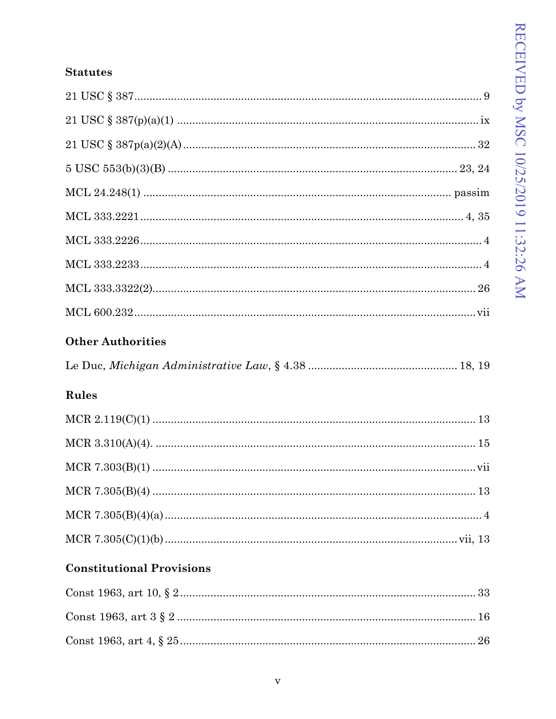## **Statutes**

| <b>Other Authorities</b> |  |
|--------------------------|--|
|                          |  |
|                          |  |
|                          |  |
|                          |  |
|                          |  |
|                          |  |
|                          |  |
|                          |  |
|                          |  |
|                          |  |
|                          |  |

## Rules

## **Constitutional Provisions**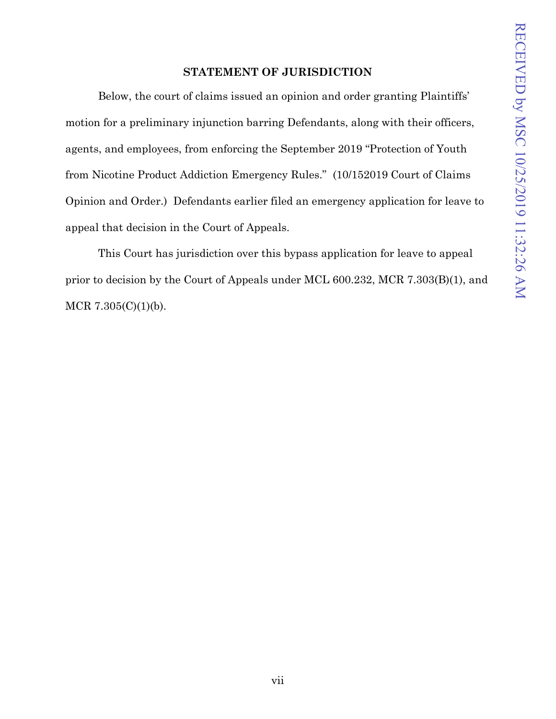## **STATEMENT OF JURISDICTION**

<span id="page-8-0"></span>Below, the court of claims issued an opinion and order granting Plaintiffs' motion for a preliminary injunction barring Defendants, along with their officers, agents, and employees, from enforcing the September 2019 "Protection of Youth from Nicotine Product Addiction Emergency Rules." (10/152019 Court of Claims Opinion and Order.) Defendants earlier filed an emergency application for leave to appeal that decision in the Court of Appeals.

This Court has jurisdiction over this bypass application for leave to appeal prior to decision by the Court of Appeals under MCL 600.232, MCR 7.303(B)(1), and MCR 7.305(C)(1)(b).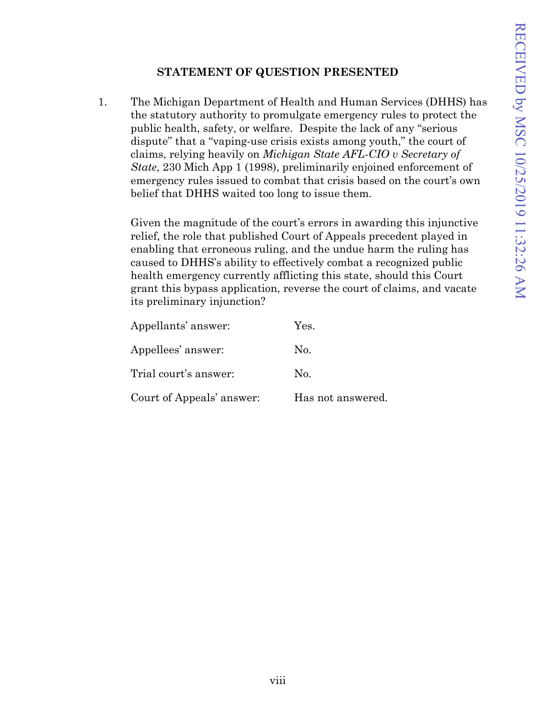## **STATEMENT OF QUESTION PRESENTED**

<span id="page-9-0"></span>1. The Michigan Department of Health and Human Services (DHHS) has the statutory authority to promulgate emergency rules to protect the public health, safety, or welfare. Despite the lack of any "serious dispute" that a "vaping-use crisis exists among youth," the court of claims, relying heavily on *Michigan State AFL-CIO v Secretary of State*, 230 Mich App 1 (1998), preliminarily enjoined enforcement of emergency rules issued to combat that crisis based on the court's own belief that DHHS waited too long to issue them.

Given the magnitude of the court's errors in awarding this injunctive relief, the role that published Court of Appeals precedent played in enabling that erroneous ruling, and the undue harm the ruling has caused to DHHS's ability to effectively combat a recognized public health emergency currently afflicting this state, should this Court grant this bypass application, reverse the court of claims, and vacate its preliminary injunction?

| Appellants' answer:       | Yes.              |
|---------------------------|-------------------|
| Appellees' answer:        | No.               |
| Trial court's answer:     | No.               |
| Court of Appeals' answer: | Has not answered. |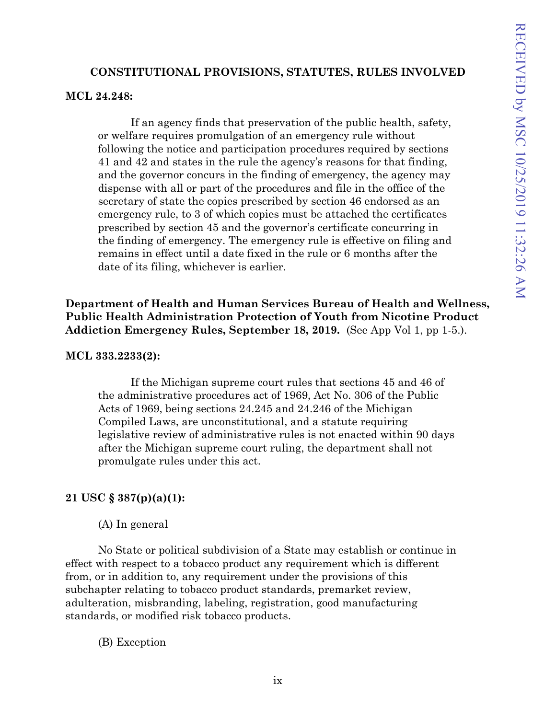## **CONSTITUTIONAL PROVISIONS, STATUTES, RULES INVOLVED**

#### <span id="page-10-0"></span>**MCL 24.248:**

If an agency finds that preservation of the public health, safety, or welfare requires promulgation of an emergency rule without following the notice and participation procedures required by sections 41 and 42 and states in the rule the agency's reasons for that finding, and the governor concurs in the finding of emergency, the agency may dispense with all or part of the procedures and file in the office of the secretary of state the copies prescribed by section 46 endorsed as an emergency rule, to 3 of which copies must be attached the certificates prescribed by section 45 and the governor's certificate concurring in the finding of emergency. The emergency rule is effective on filing and remains in effect until a date fixed in the rule or 6 months after the date of its filing, whichever is earlier.

**Department of Health and Human Services Bureau of Health and Wellness, Public Health Administration Protection of Youth from Nicotine Product Addiction Emergency Rules, September 18, 2019.** (See App Vol 1, pp 1-5.).

## **MCL 333.2233(2):**

If the Michigan supreme court rules that sections 45 and 46 of the administrative procedures act of 1969, Act No. 306 of the Public Acts of 1969, being sections 24.245 and 24.246 of the Michigan Compiled Laws, are unconstitutional, and a statute requiring legislative review of administrative rules is not enacted within 90 days after the Michigan supreme court ruling, the department shall not promulgate rules under this act.

## **21 USC § 387(p)(a)(1):**

(A) In general

No State or political subdivision of a State may establish or continue in effect with respect to a tobacco product any requirement which is different from, or in addition to, any requirement under the provisions of this subchapter relating to tobacco product standards, premarket review, adulteration, misbranding, labeling, registration, good manufacturing standards, or modified risk tobacco products.

(B) Exception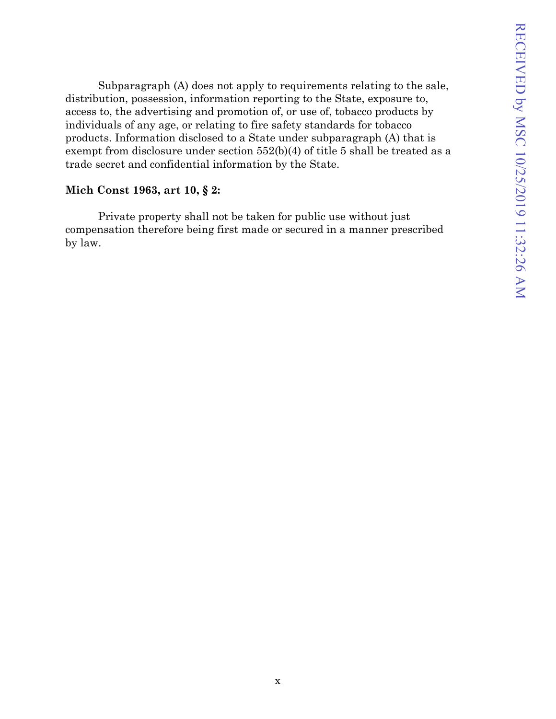Subparagraph (A) does not apply to requirements relating to the sale, distribution, possession, information reporting to the State, exposure to, access to, the advertising and promotion of, or use of, tobacco products by individuals of any age, or relating to fire safety standards for tobacco products. Information disclosed to a State under subparagraph (A) that is exempt from disclosure under section 552(b)(4) of title 5 shall be treated as a trade secret and confidential information by the State.

### **Mich Const 1963, art 10, § 2:**

Private property shall not be taken for public use without just compensation therefore being first made or secured in a manner prescribed by law.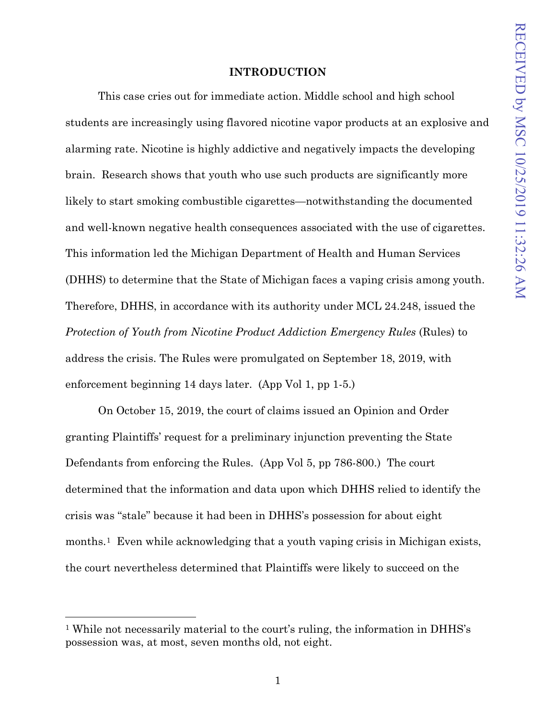#### **INTRODUCTION**

<span id="page-12-0"></span>This case cries out for immediate action. Middle school and high school students are increasingly using flavored nicotine vapor products at an explosive and alarming rate. Nicotine is highly addictive and negatively impacts the developing brain. Research shows that youth who use such products are significantly more likely to start smoking combustible cigarettes—notwithstanding the documented and well-known negative health consequences associated with the use of cigarettes. This information led the Michigan Department of Health and Human Services (DHHS) to determine that the State of Michigan faces a vaping crisis among youth. Therefore, DHHS, in accordance with its authority under MCL 24.248, issued the *Protection of Youth from Nicotine Product Addiction Emergency Rules* (Rules) to address the crisis. The Rules were promulgated on September 18, 2019, with enforcement beginning 14 days later. (App Vol 1, pp 1-5.)

On October 15, 2019, the court of claims issued an Opinion and Order granting Plaintiffs' request for a preliminary injunction preventing the State Defendants from enforcing the Rules. (App Vol 5, pp 786-800.) The court determined that the information and data upon which DHHS relied to identify the crisis was "stale" because it had been in DHHS's possession for about eight months.<sup>1</sup> Even while acknowledging that a youth vaping crisis in Michigan exists, the court nevertheless determined that Plaintiffs were likely to succeed on the

<span id="page-12-1"></span><sup>1</sup> While not necessarily material to the court's ruling, the information in DHHS's possession was, at most, seven months old, not eight.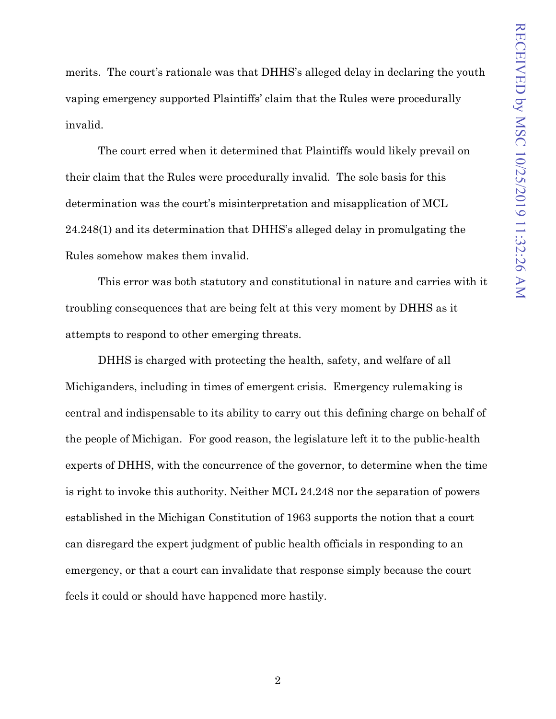merits. The court's rationale was that DHHS's alleged delay in declaring the youth vaping emergency supported Plaintiffs' claim that the Rules were procedurally invalid.

The court erred when it determined that Plaintiffs would likely prevail on their claim that the Rules were procedurally invalid. The sole basis for this determination was the court's misinterpretation and misapplication of MCL 24.248(1) and its determination that DHHS's alleged delay in promulgating the Rules somehow makes them invalid.

This error was both statutory and constitutional in nature and carries with it troubling consequences that are being felt at this very moment by DHHS as it attempts to respond to other emerging threats.

DHHS is charged with protecting the health, safety, and welfare of all Michiganders, including in times of emergent crisis. Emergency rulemaking is central and indispensable to its ability to carry out this defining charge on behalf of the people of Michigan. For good reason, the legislature left it to the public-health experts of DHHS, with the concurrence of the governor, to determine when the time is right to invoke this authority. Neither MCL 24.248 nor the separation of powers established in the Michigan Constitution of 1963 supports the notion that a court can disregard the expert judgment of public health officials in responding to an emergency, or that a court can invalidate that response simply because the court feels it could or should have happened more hastily.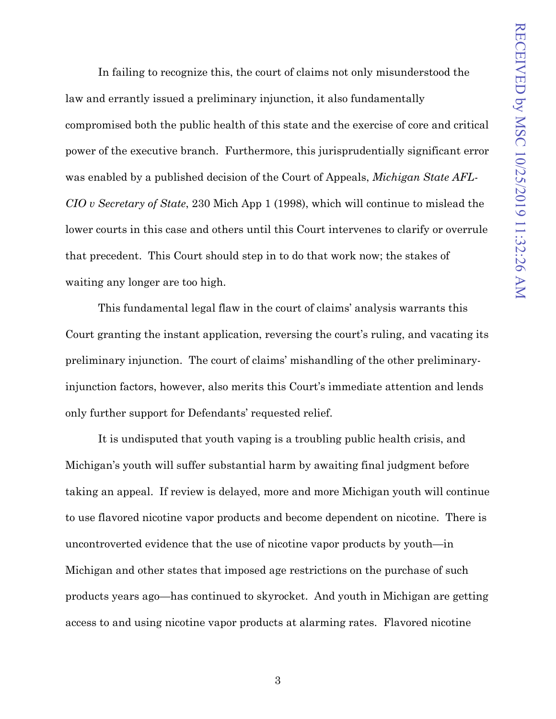In failing to recognize this, the court of claims not only misunderstood the law and errantly issued a preliminary injunction, it also fundamentally compromised both the public health of this state and the exercise of core and critical power of the executive branch. Furthermore, this jurisprudentially significant error was enabled by a published decision of the Court of Appeals, *Michigan State AFL-CIO v Secretary of State*, 230 Mich App 1 (1998), which will continue to mislead the lower courts in this case and others until this Court intervenes to clarify or overrule that precedent. This Court should step in to do that work now; the stakes of waiting any longer are too high.

This fundamental legal flaw in the court of claims' analysis warrants this Court granting the instant application, reversing the court's ruling, and vacating its preliminary injunction. The court of claims' mishandling of the other preliminaryinjunction factors, however, also merits this Court's immediate attention and lends only further support for Defendants' requested relief.

It is undisputed that youth vaping is a troubling public health crisis, and Michigan's youth will suffer substantial harm by awaiting final judgment before taking an appeal. If review is delayed, more and more Michigan youth will continue to use flavored nicotine vapor products and become dependent on nicotine. There is uncontroverted evidence that the use of nicotine vapor products by youth—in Michigan and other states that imposed age restrictions on the purchase of such products years ago—has continued to skyrocket. And youth in Michigan are getting access to and using nicotine vapor products at alarming rates. Flavored nicotine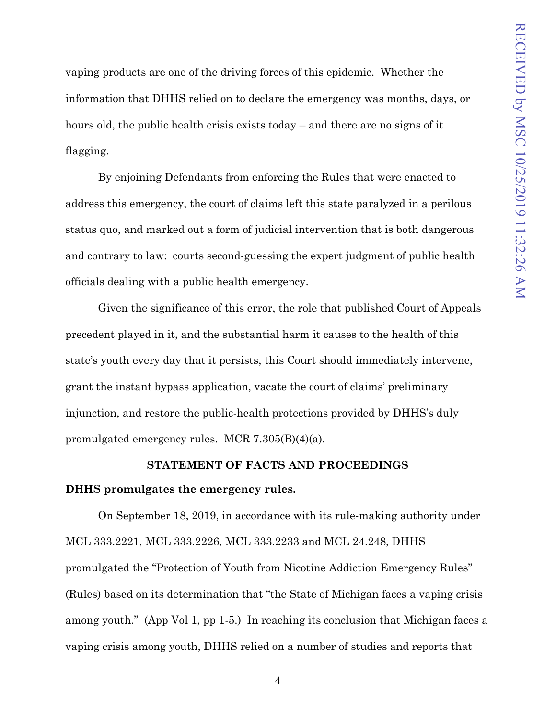vaping products are one of the driving forces of this epidemic. Whether the information that DHHS relied on to declare the emergency was months, days, or hours old, the public health crisis exists today – and there are no signs of it flagging.

By enjoining Defendants from enforcing the Rules that were enacted to address this emergency, the court of claims left this state paralyzed in a perilous status quo, and marked out a form of judicial intervention that is both dangerous and contrary to law: courts second-guessing the expert judgment of public health officials dealing with a public health emergency.

Given the significance of this error, the role that published Court of Appeals precedent played in it, and the substantial harm it causes to the health of this state's youth every day that it persists, this Court should immediately intervene, grant the instant bypass application, vacate the court of claims' preliminary injunction, and restore the public-health protections provided by DHHS's duly promulgated emergency rules. MCR 7.305(B)(4)(a).

#### **STATEMENT OF FACTS AND PROCEEDINGS**

#### <span id="page-15-0"></span>**DHHS promulgates the emergency rules.**

On September 18, 2019, in accordance with its rule-making authority under MCL 333.2221, MCL 333.2226, MCL 333.2233 and MCL 24.248, DHHS promulgated the "Protection of Youth from Nicotine Addiction Emergency Rules" (Rules) based on its determination that "the State of Michigan faces a vaping crisis among youth." (App Vol 1, pp 1-5.) In reaching its conclusion that Michigan faces a vaping crisis among youth, DHHS relied on a number of studies and reports that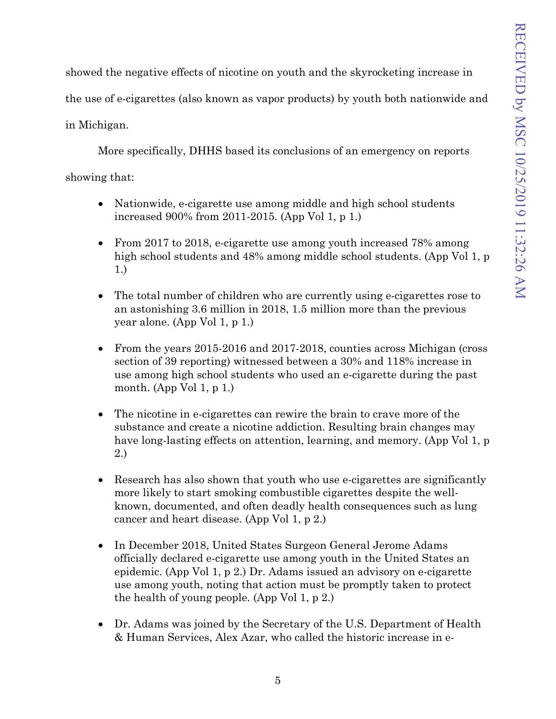showed the negative effects of nicotine on youth and the skyrocketing increase in

the use of e-cigarettes (also known as vapor products) by youth both nationwide and

in Michigan.

More specifically, DHHS based its conclusions of an emergency on reports

showing that:

- Nationwide, e-cigarette use among middle and high school students increased 900% from 2011-2015. (App Vol 1, p 1.)
- From 2017 to 2018, e-cigarette use among youth increased 78% among high school students and 48% among middle school students. (App Vol 1, p 1.)
- The total number of children who are currently using e-cigarettes rose to an astonishing 3.6 million in 2018, 1.5 million more than the previous year alone. (App Vol 1, p 1.)
- From the years 2015-2016 and 2017-2018, counties across Michigan (cross) section of 39 reporting) witnessed between a 30% and 118% increase in use among high school students who used an e-cigarette during the past month. (App Vol 1, p 1.)
- The nicotine in e-cigarettes can rewire the brain to crave more of the substance and create a nicotine addiction. Resulting brain changes may have long-lasting effects on attention, learning, and memory. (App Vol 1, p 2.)
- Research has also shown that youth who use e-cigarettes are significantly more likely to start smoking combustible cigarettes despite the wellknown, documented, and often deadly health consequences such as lung cancer and heart disease. (App Vol 1, p 2.)
- In December 2018, United States Surgeon General Jerome Adams officially declared e-cigarette use among youth in the United States an epidemic. (App Vol 1, p 2.) Dr. Adams issued an advisory on e-cigarette use among youth, noting that action must be promptly taken to protect the health of young people. (App Vol 1, p 2.)
- Dr. Adams was joined by the Secretary of the U.S. Department of Health & Human Services, Alex Azar, who called the historic increase in e-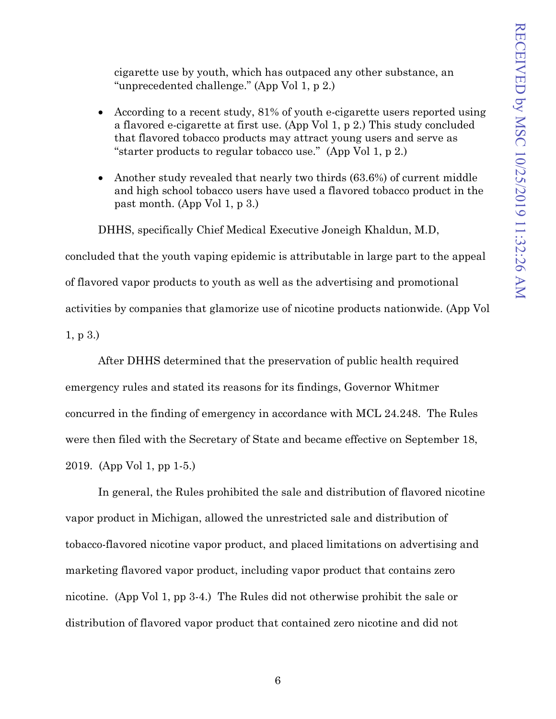cigarette use by youth, which has outpaced any other substance, an "unprecedented challenge." (App Vol 1, p 2.)

- According to a recent study, 81% of youth e-cigarette users reported using a flavored e-cigarette at first use. (App Vol 1, p 2.) This study concluded that flavored tobacco products may attract young users and serve as "starter products to regular tobacco use." (App Vol 1, p 2.)
- Another study revealed that nearly two thirds (63.6%) of current middle and high school tobacco users have used a flavored tobacco product in the past month. (App Vol 1, p 3.)

DHHS, specifically Chief Medical Executive Joneigh Khaldun, M.D,

concluded that the youth vaping epidemic is attributable in large part to the appeal of flavored vapor products to youth as well as the advertising and promotional activities by companies that glamorize use of nicotine products nationwide. (App Vol 1, p 3.)

After DHHS determined that the preservation of public health required emergency rules and stated its reasons for its findings, Governor Whitmer concurred in the finding of emergency in accordance with MCL 24.248. The Rules were then filed with the Secretary of State and became effective on September 18, 2019. (App Vol 1, pp 1-5.)

In general, the Rules prohibited the sale and distribution of flavored nicotine vapor product in Michigan, allowed the unrestricted sale and distribution of tobacco-flavored nicotine vapor product, and placed limitations on advertising and marketing flavored vapor product, including vapor product that contains zero nicotine. (App Vol 1, pp 3-4.) The Rules did not otherwise prohibit the sale or distribution of flavored vapor product that contained zero nicotine and did not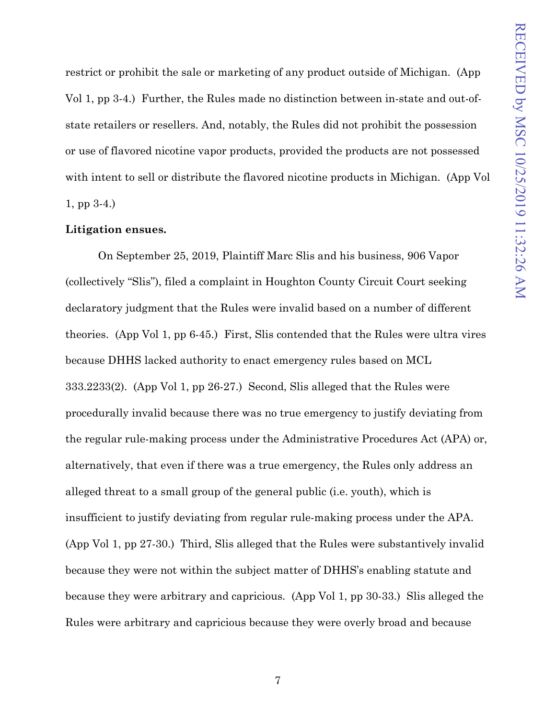restrict or prohibit the sale or marketing of any product outside of Michigan. (App Vol 1, pp 3-4.) Further, the Rules made no distinction between in-state and out-ofstate retailers or resellers. And, notably, the Rules did not prohibit the possession or use of flavored nicotine vapor products, provided the products are not possessed with intent to sell or distribute the flavored nicotine products in Michigan. (App Vol 1, pp 3-4.)

#### **Litigation ensues.**

On September 25, 2019, Plaintiff Marc Slis and his business, 906 Vapor (collectively "Slis"), filed a complaint in Houghton County Circuit Court seeking declaratory judgment that the Rules were invalid based on a number of different theories. (App Vol 1, pp 6-45.) First, Slis contended that the Rules were ultra vires because DHHS lacked authority to enact emergency rules based on MCL 333.2233(2). (App Vol 1, pp 26-27.) Second, Slis alleged that the Rules were procedurally invalid because there was no true emergency to justify deviating from the regular rule-making process under the Administrative Procedures Act (APA) or, alternatively, that even if there was a true emergency, the Rules only address an alleged threat to a small group of the general public (i.e. youth), which is insufficient to justify deviating from regular rule-making process under the APA. (App Vol 1, pp 27-30.) Third, Slis alleged that the Rules were substantively invalid because they were not within the subject matter of DHHS's enabling statute and because they were arbitrary and capricious. (App Vol 1, pp 30-33.) Slis alleged the Rules were arbitrary and capricious because they were overly broad and because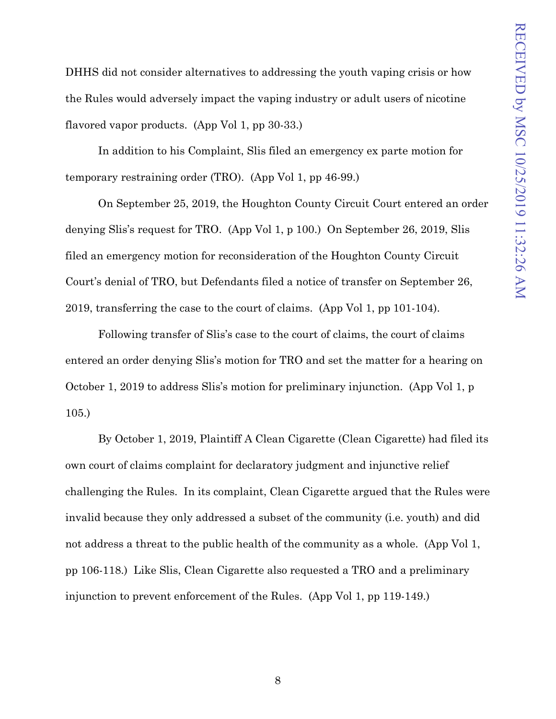DHHS did not consider alternatives to addressing the youth vaping crisis or how the Rules would adversely impact the vaping industry or adult users of nicotine flavored vapor products. (App Vol 1, pp 30-33.)

In addition to his Complaint, Slis filed an emergency ex parte motion for temporary restraining order (TRO). (App Vol 1, pp 46-99.)

On September 25, 2019, the Houghton County Circuit Court entered an order denying Slis's request for TRO. (App Vol 1, p 100.) On September 26, 2019, Slis filed an emergency motion for reconsideration of the Houghton County Circuit Court's denial of TRO, but Defendants filed a notice of transfer on September 26, 2019, transferring the case to the court of claims. (App Vol 1, pp 101-104).

Following transfer of Slis's case to the court of claims, the court of claims entered an order denying Slis's motion for TRO and set the matter for a hearing on October 1, 2019 to address Slis's motion for preliminary injunction. (App Vol 1, p 105.)

By October 1, 2019, Plaintiff A Clean Cigarette (Clean Cigarette) had filed its own court of claims complaint for declaratory judgment and injunctive relief challenging the Rules. In its complaint, Clean Cigarette argued that the Rules were invalid because they only addressed a subset of the community (i.e. youth) and did not address a threat to the public health of the community as a whole. (App Vol 1, pp 106-118.) Like Slis, Clean Cigarette also requested a TRO and a preliminary injunction to prevent enforcement of the Rules. (App Vol 1, pp 119-149.)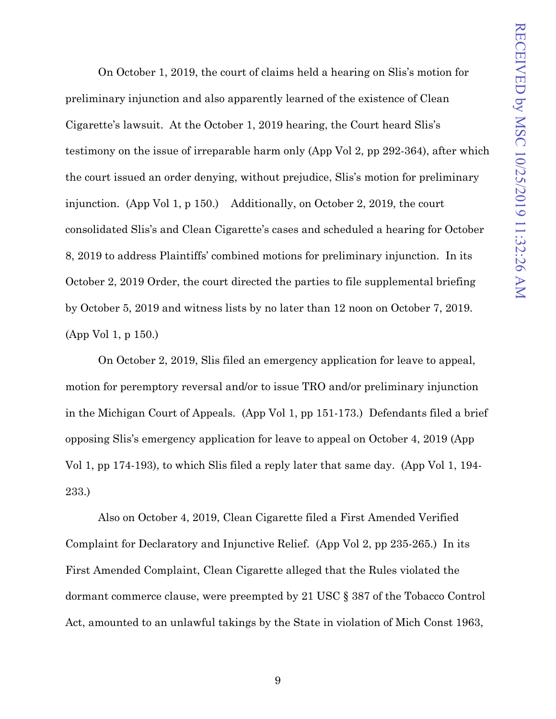On October 1, 2019, the court of claims held a hearing on Slis's motion for preliminary injunction and also apparently learned of the existence of Clean Cigarette's lawsuit. At the October 1, 2019 hearing, the Court heard Slis's testimony on the issue of irreparable harm only (App Vol 2, pp 292-364), after which the court issued an order denying, without prejudice, Slis's motion for preliminary injunction. (App Vol 1, p 150.) Additionally, on October 2, 2019, the court consolidated Slis's and Clean Cigarette's cases and scheduled a hearing for October 8, 2019 to address Plaintiffs' combined motions for preliminary injunction. In its October 2, 2019 Order, the court directed the parties to file supplemental briefing by October 5, 2019 and witness lists by no later than 12 noon on October 7, 2019. (App Vol 1, p 150.)

On October 2, 2019, Slis filed an emergency application for leave to appeal, motion for peremptory reversal and/or to issue TRO and/or preliminary injunction in the Michigan Court of Appeals. (App Vol 1, pp 151-173.) Defendants filed a brief opposing Slis's emergency application for leave to appeal on October 4, 2019 (App Vol 1, pp 174-193), to which Slis filed a reply later that same day. (App Vol 1, 194- 233.)

Also on October 4, 2019, Clean Cigarette filed a First Amended Verified Complaint for Declaratory and Injunctive Relief. (App Vol 2, pp 235-265.) In its First Amended Complaint, Clean Cigarette alleged that the Rules violated the dormant commerce clause, were preempted by 21 USC § 387 of the Tobacco Control Act, amounted to an unlawful takings by the State in violation of Mich Const 1963,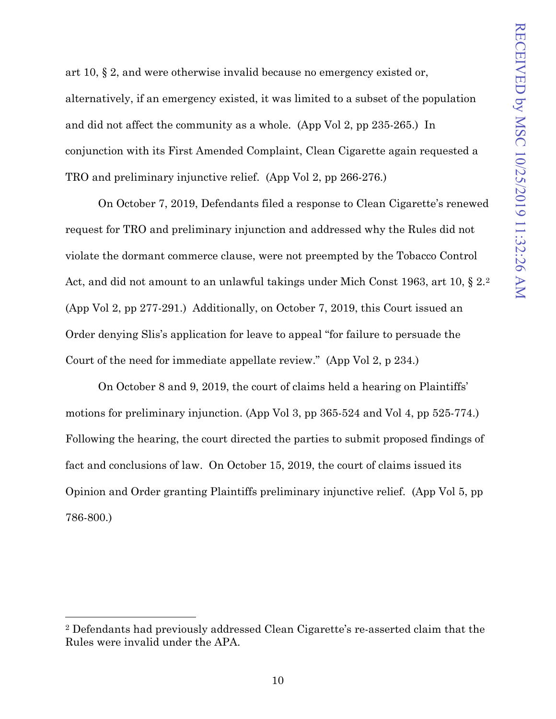art 10, § 2, and were otherwise invalid because no emergency existed or, alternatively, if an emergency existed, it was limited to a subset of the population and did not affect the community as a whole. (App Vol 2, pp 235-265.) In conjunction with its First Amended Complaint, Clean Cigarette again requested a TRO and preliminary injunctive relief. (App Vol 2, pp 266-276.)

On October 7, 2019, Defendants filed a response to Clean Cigarette's renewed request for TRO and preliminary injunction and addressed why the Rules did not violate the dormant commerce clause, were not preempted by the Tobacco Control Act, and did not amount to an unlawful takings under Mich Const 1963, art 10, § 2.[2](#page-21-0)  (App Vol 2, pp 277-291.) Additionally, on October 7, 2019, this Court issued an Order denying Slis's application for leave to appeal "for failure to persuade the Court of the need for immediate appellate review." (App Vol 2, p 234.)

On October 8 and 9, 2019, the court of claims held a hearing on Plaintiffs' motions for preliminary injunction. (App Vol 3, pp 365-524 and Vol 4, pp 525-774.) Following the hearing, the court directed the parties to submit proposed findings of fact and conclusions of law. On October 15, 2019, the court of claims issued its Opinion and Order granting Plaintiffs preliminary injunctive relief. (App Vol 5, pp 786-800.)

<span id="page-21-0"></span><sup>2</sup> Defendants had previously addressed Clean Cigarette's re-asserted claim that the Rules were invalid under the APA.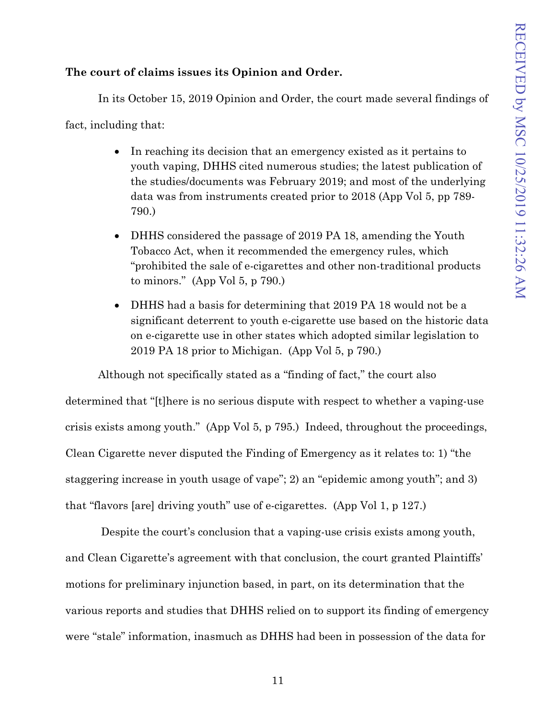## **The court of claims issues its Opinion and Order.**

In its October 15, 2019 Opinion and Order, the court made several findings of

fact, including that:

- In reaching its decision that an emergency existed as it pertains to youth vaping, DHHS cited numerous studies; the latest publication of the studies/documents was February 2019; and most of the underlying data was from instruments created prior to 2018 (App Vol 5, pp 789- 790.)
- DHHS considered the passage of 2019 PA 18, amending the Youth Tobacco Act, when it recommended the emergency rules, which "prohibited the sale of e-cigarettes and other non-traditional products to minors." (App Vol 5, p 790.)
- DHHS had a basis for determining that 2019 PA 18 would not be a significant deterrent to youth e-cigarette use based on the historic data on e-cigarette use in other states which adopted similar legislation to 2019 PA 18 prior to Michigan. (App Vol 5, p 790.)

Although not specifically stated as a "finding of fact," the court also determined that "[t]here is no serious dispute with respect to whether a vaping-use crisis exists among youth." (App Vol 5, p 795.) Indeed, throughout the proceedings, Clean Cigarette never disputed the Finding of Emergency as it relates to: 1) "the staggering increase in youth usage of vape"; 2) an "epidemic among youth"; and 3) that "flavors [are] driving youth" use of e-cigarettes. (App Vol 1, p 127.)

Despite the court's conclusion that a vaping-use crisis exists among youth, and Clean Cigarette's agreement with that conclusion, the court granted Plaintiffs' motions for preliminary injunction based, in part, on its determination that the various reports and studies that DHHS relied on to support its finding of emergency were "stale" information, inasmuch as DHHS had been in possession of the data for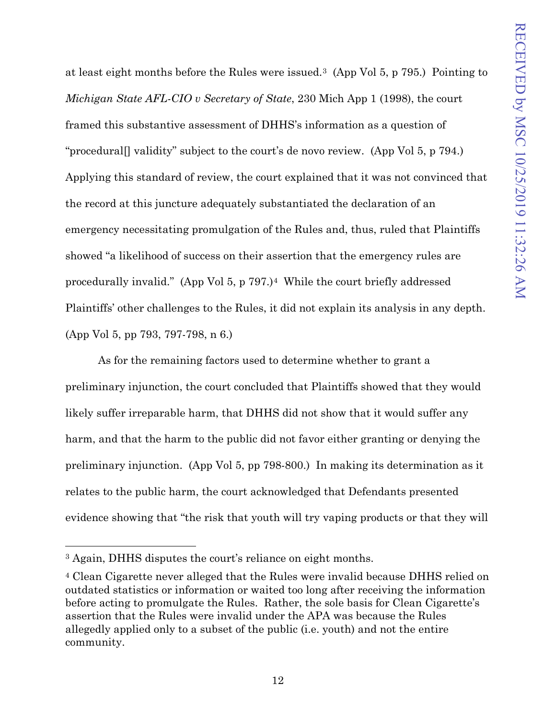at least eight months before the Rules were issued.[3](#page-23-0) (App Vol 5, p 795.) Pointing to *Michigan State AFL-CIO v Secretary of State*, 230 Mich App 1 (1998), the court framed this substantive assessment of DHHS's information as a question of "procedural[] validity" subject to the court's de novo review. (App Vol 5, p 794.) Applying this standard of review, the court explained that it was not convinced that the record at this juncture adequately substantiated the declaration of an emergency necessitating promulgation of the Rules and, thus, ruled that Plaintiffs showed "a likelihood of success on their assertion that the emergency rules are procedurally invalid." (App Vol 5, p 797.)[4](#page-23-1) While the court briefly addressed Plaintiffs' other challenges to the Rules, it did not explain its analysis in any depth. (App Vol 5, pp 793, 797-798, n 6.)

As for the remaining factors used to determine whether to grant a preliminary injunction, the court concluded that Plaintiffs showed that they would likely suffer irreparable harm, that DHHS did not show that it would suffer any harm, and that the harm to the public did not favor either granting or denying the preliminary injunction. (App Vol 5, pp 798-800.) In making its determination as it relates to the public harm, the court acknowledged that Defendants presented evidence showing that "the risk that youth will try vaping products or that they will

<span id="page-23-0"></span><sup>3</sup> Again, DHHS disputes the court's reliance on eight months.

<span id="page-23-1"></span><sup>4</sup> Clean Cigarette never alleged that the Rules were invalid because DHHS relied on outdated statistics or information or waited too long after receiving the information before acting to promulgate the Rules. Rather, the sole basis for Clean Cigarette's assertion that the Rules were invalid under the APA was because the Rules allegedly applied only to a subset of the public (i.e. youth) and not the entire community.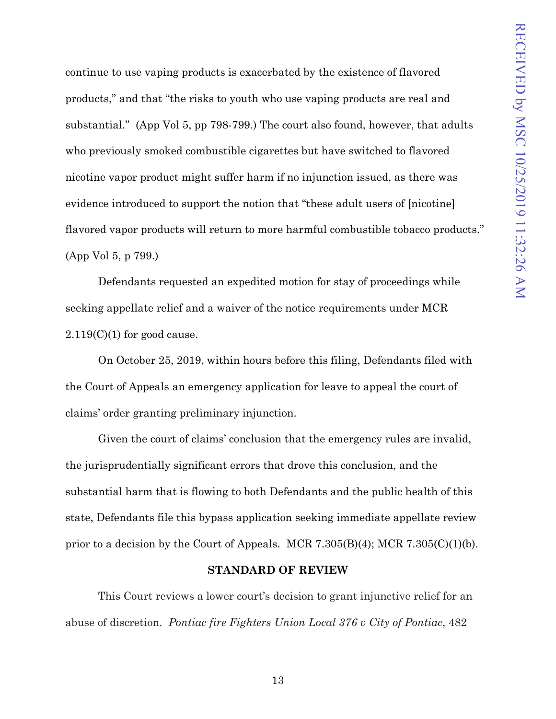continue to use vaping products is exacerbated by the existence of flavored products," and that "the risks to youth who use vaping products are real and substantial." (App Vol 5, pp 798-799.) The court also found, however, that adults who previously smoked combustible cigarettes but have switched to flavored nicotine vapor product might suffer harm if no injunction issued, as there was evidence introduced to support the notion that "these adult users of [nicotine] flavored vapor products will return to more harmful combustible tobacco products." (App Vol 5, p 799.)

Defendants requested an expedited motion for stay of proceedings while seeking appellate relief and a waiver of the notice requirements under MCR  $2.119(C)(1)$  for good cause.

On October 25, 2019, within hours before this filing, Defendants filed with the Court of Appeals an emergency application for leave to appeal the court of claims' order granting preliminary injunction.

Given the court of claims' conclusion that the emergency rules are invalid, the jurisprudentially significant errors that drove this conclusion, and the substantial harm that is flowing to both Defendants and the public health of this state, Defendants file this bypass application seeking immediate appellate review prior to a decision by the Court of Appeals. MCR 7.305(B)(4); MCR 7.305(C)(1)(b).

#### **STANDARD OF REVIEW**

<span id="page-24-0"></span>This Court reviews a lower court's decision to grant injunctive relief for an abuse of discretion. *Pontiac fire Fighters Union Local 376 v City of Pontiac*, 482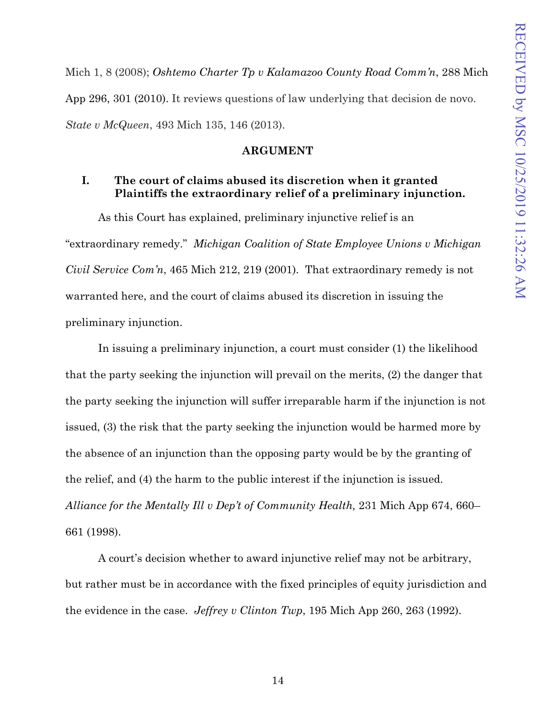Mich 1, 8 (2008); *Oshtemo Charter Tp v Kalamazoo County Road Comm'n*, 288 Mich App 296, 301 (2010). It reviews questions of law underlying that decision de novo. *State v McQueen*, 493 Mich 135, 146 (2013).

### **ARGUMENT**

## <span id="page-25-1"></span><span id="page-25-0"></span>**I. The court of claims abused its discretion when it granted Plaintiffs the extraordinary relief of a preliminary injunction.**

As this Court has explained, preliminary injunctive relief is an "extraordinary remedy." *Michigan Coalition of State Employee Unions v Michigan Civil Service Com'n*, 465 Mich 212, 219 (2001). That extraordinary remedy is not warranted here, and the court of claims abused its discretion in issuing the preliminary injunction.

In issuing a preliminary injunction, a court must consider (1) the likelihood that the party seeking the injunction will prevail on the merits, (2) the danger that the party seeking the injunction will suffer irreparable harm if the injunction is not issued, (3) the risk that the party seeking the injunction would be harmed more by the absence of an injunction than the opposing party would be by the granting of the relief, and (4) the harm to the public interest if the injunction is issued. *[Alliance for the Mentally Ill v Dep't of Community Health,](https://1.next.westlaw.com/Link/Document/FullText?findType=Y&serNum=1998199026&pubNum=0000595&originatingDoc=I5e393575776311e089b3e4fa6356f33d&refType=RP&originationContext=document&transitionType=DocumentItem&contextData=(sc.Search))* 231 Mich App 674, 660– [661 \(1998\).](https://1.next.westlaw.com/Link/Document/FullText?findType=Y&serNum=1998199026&pubNum=0000595&originatingDoc=I5e393575776311e089b3e4fa6356f33d&refType=RP&originationContext=document&transitionType=DocumentItem&contextData=(sc.Search))

A court's decision whether to award injunctive relief may not be arbitrary, but rather must be in accordance with the fixed principles of equity jurisdiction and the evidence in the case. *Jeffrey v Clinton Twp*, 195 Mich App 260, 263 (1992).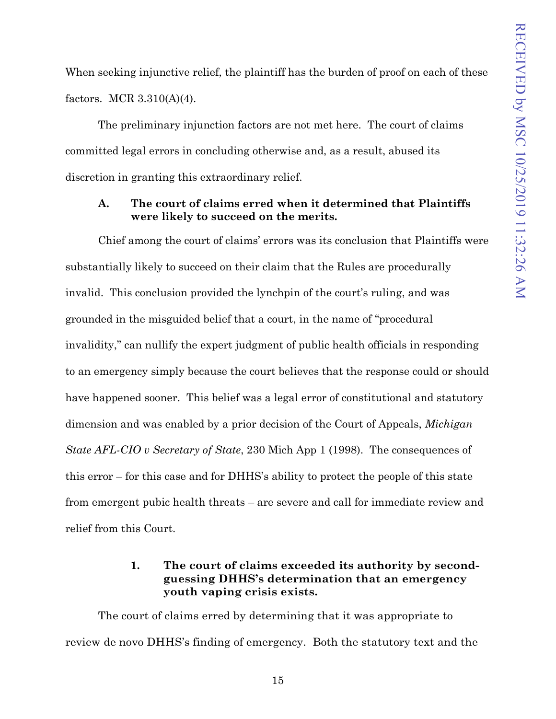When seeking injunctive relief, the plaintiff has the burden of proof on each of these factors. MCR 3.310(A)(4).

The preliminary injunction factors are not met here. The court of claims committed legal errors in concluding otherwise and, as a result, abused its discretion in granting this extraordinary relief.

## <span id="page-26-0"></span>**A. The court of claims erred when it determined that Plaintiffs were likely to succeed on the merits.**

Chief among the court of claims' errors was its conclusion that Plaintiffs were substantially likely to succeed on their claim that the Rules are procedurally invalid. This conclusion provided the lynchpin of the court's ruling, and was grounded in the misguided belief that a court, in the name of "procedural invalidity," can nullify the expert judgment of public health officials in responding to an emergency simply because the court believes that the response could or should have happened sooner. This belief was a legal error of constitutional and statutory dimension and was enabled by a prior decision of the Court of Appeals, *Michigan State AFL-CIO v Secretary of State*, 230 Mich App 1 (1998). The consequences of this error – for this case and for DHHS's ability to protect the people of this state from emergent pubic health threats – are severe and call for immediate review and relief from this Court.

## **1. The court of claims exceeded its authority by secondguessing DHHS's determination that an emergency youth vaping crisis exists.**

<span id="page-26-1"></span>The court of claims erred by determining that it was appropriate to review de novo DHHS's finding of emergency. Both the statutory text and the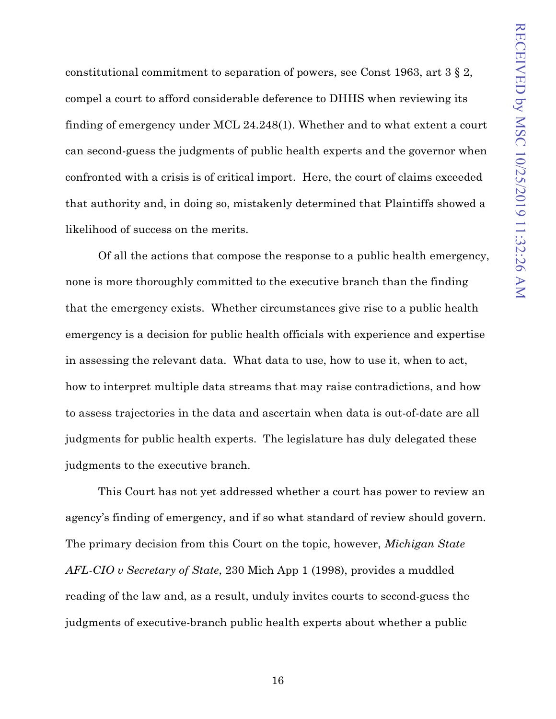constitutional commitment to separation of powers, see Const 1963, art 3 § 2, compel a court to afford considerable deference to DHHS when reviewing its finding of emergency under MCL 24.248(1). Whether and to what extent a court can second-guess the judgments of public health experts and the governor when confronted with a crisis is of critical import. Here, the court of claims exceeded that authority and, in doing so, mistakenly determined that Plaintiffs showed a likelihood of success on the merits.

Of all the actions that compose the response to a public health emergency, none is more thoroughly committed to the executive branch than the finding that the emergency exists. Whether circumstances give rise to a public health emergency is a decision for public health officials with experience and expertise in assessing the relevant data. What data to use, how to use it, when to act, how to interpret multiple data streams that may raise contradictions, and how to assess trajectories in the data and ascertain when data is out-of-date are all judgments for public health experts. The legislature has duly delegated these judgments to the executive branch.

This Court has not yet addressed whether a court has power to review an agency's finding of emergency, and if so what standard of review should govern. The primary decision from this Court on the topic, however, *Michigan State AFL-CIO v Secretary of State*, 230 Mich App 1 (1998), provides a muddled reading of the law and, as a result, unduly invites courts to second-guess the judgments of executive-branch public health experts about whether a public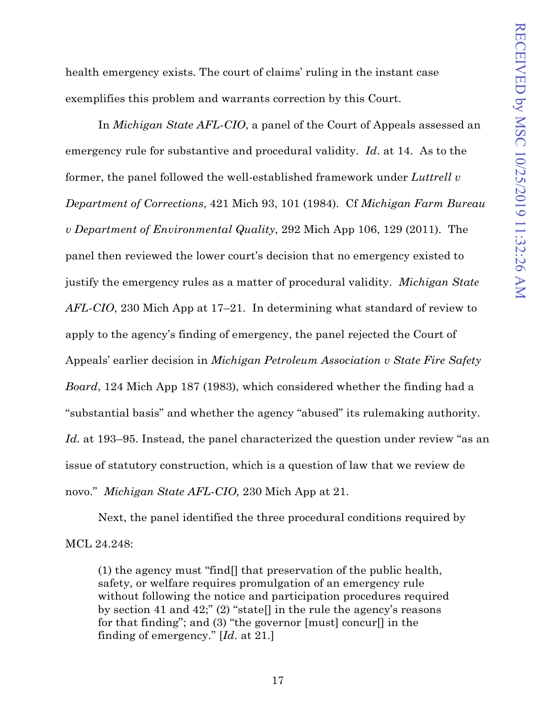health emergency exists. The court of claims' ruling in the instant case exemplifies this problem and warrants correction by this Court.

In *Michigan State AFL-CIO*, a panel of the Court of Appeals assessed an emergency rule for substantive and procedural validity. *Id*. at 14. As to the former, the panel followed the well-established framework under *Luttrell v Department of Corrections*, 421 Mich 93, 101 (1984). Cf *Michigan Farm Bureau v Department of Environmental Quality*, 292 Mich App 106, 129 (2011). The panel then reviewed the lower court's decision that no emergency existed to justify the emergency rules as a matter of procedural validity. *Michigan State AFL-CIO*, 230 Mich App at 17–21. In determining what standard of review to apply to the agency's finding of emergency, the panel rejected the Court of Appeals' earlier decision in *Michigan Petroleum Association v State Fire Safety Board*, 124 Mich App 187 (1983), which considered whether the finding had a "substantial basis" and whether the agency "abused" its rulemaking authority. Id. at 193–95. Instead, the panel characterized the question under review "as an issue of statutory construction, which is a question of law that we review de novo." *Michigan State AFL-CIO,* 230 Mich App at 21.

Next, the panel identified the three procedural conditions required by MCL 24.248:

(1) the agency must "find[] that preservation of the public health, safety, or welfare requires promulgation of an emergency rule without following the notice and participation procedures required by section 41 and 42;" (2) "state  $\parallel$  in the rule the agency's reasons for that finding"; and (3) "the governor [must] concur[] in the finding of emergency." [*Id*. at 21.]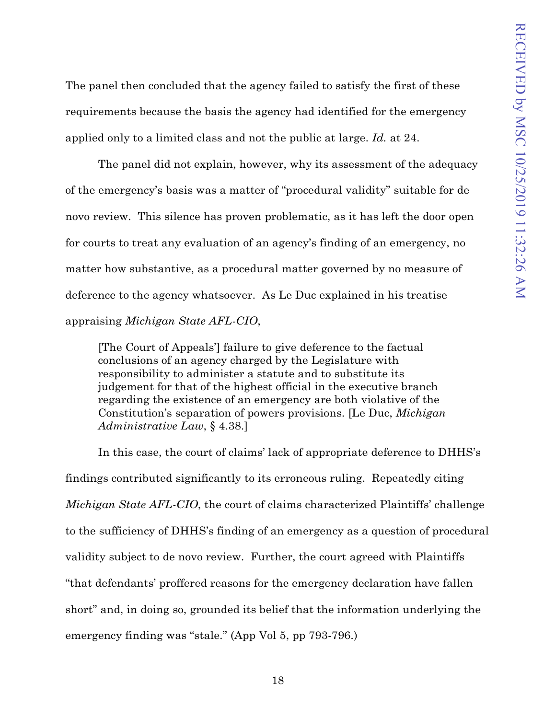The panel then concluded that the agency failed to satisfy the first of these requirements because the basis the agency had identified for the emergency applied only to a limited class and not the public at large. *Id.* at 24.

The panel did not explain, however, why its assessment of the adequacy of the emergency's basis was a matter of "procedural validity" suitable for de novo review. This silence has proven problematic, as it has left the door open for courts to treat any evaluation of an agency's finding of an emergency, no matter how substantive, as a procedural matter governed by no measure of deference to the agency whatsoever. As Le Duc explained in his treatise appraising *Michigan State AFL-CIO*,

[The Court of Appeals'] failure to give deference to the factual conclusions of an agency charged by the Legislature with responsibility to administer a statute and to substitute its judgement for that of the highest official in the executive branch regarding the existence of an emergency are both violative of the Constitution's separation of powers provisions. [Le Duc, *Michigan Administrative Law*, § 4.38.]

In this case, the court of claims' lack of appropriate deference to DHHS's findings contributed significantly to its erroneous ruling. Repeatedly citing *Michigan State AFL-CIO*, the court of claims characterized Plaintiffs' challenge to the sufficiency of DHHS's finding of an emergency as a question of procedural validity subject to de novo review. Further, the court agreed with Plaintiffs "that defendants' proffered reasons for the emergency declaration have fallen short" and, in doing so, grounded its belief that the information underlying the emergency finding was "stale." (App Vol 5, pp 793-796.)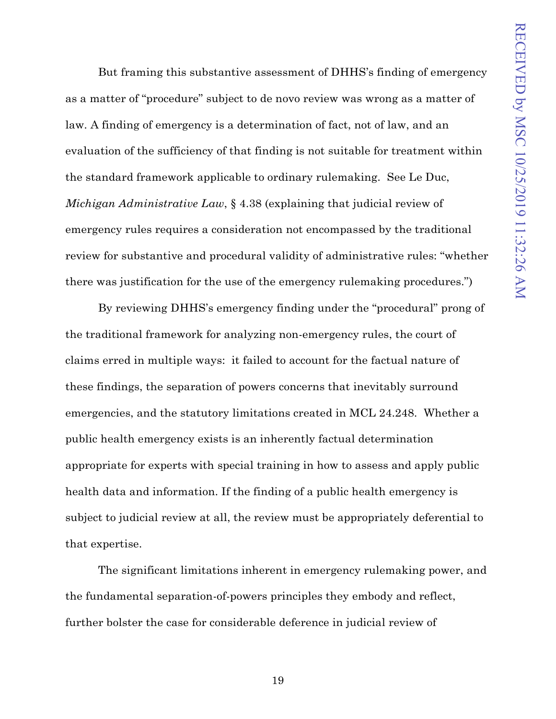But framing this substantive assessment of DHHS's finding of emergency as a matter of "procedure" subject to de novo review was wrong as a matter of law. A finding of emergency is a determination of fact, not of law, and an evaluation of the sufficiency of that finding is not suitable for treatment within the standard framework applicable to ordinary rulemaking. See Le Duc, *Michigan Administrative Law*, § 4.38 (explaining that judicial review of emergency rules requires a consideration not encompassed by the traditional review for substantive and procedural validity of administrative rules: "whether there was justification for the use of the emergency rulemaking procedures.")

By reviewing DHHS's emergency finding under the "procedural" prong of the traditional framework for analyzing non-emergency rules, the court of claims erred in multiple ways: it failed to account for the factual nature of these findings, the separation of powers concerns that inevitably surround emergencies, and the statutory limitations created in MCL 24.248. Whether a public health emergency exists is an inherently factual determination appropriate for experts with special training in how to assess and apply public health data and information. If the finding of a public health emergency is subject to judicial review at all, the review must be appropriately deferential to that expertise.

The significant limitations inherent in emergency rulemaking power, and the fundamental separation-of-powers principles they embody and reflect, further bolster the case for considerable deference in judicial review of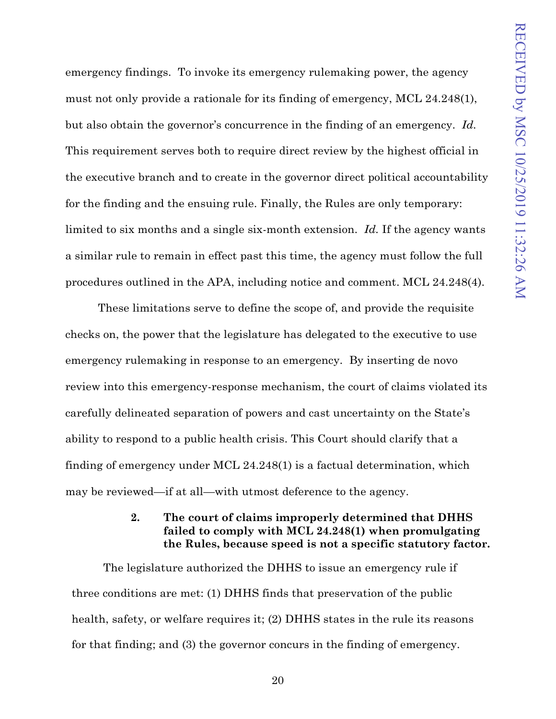emergency findings. To invoke its emergency rulemaking power, the agency must not only provide a rationale for its finding of emergency, MCL 24.248(1), but also obtain the governor's concurrence in the finding of an emergency. *Id.* This requirement serves both to require direct review by the highest official in the executive branch and to create in the governor direct political accountability for the finding and the ensuing rule. Finally, the Rules are only temporary: limited to six months and a single six-month extension. *Id.* If the agency wants a similar rule to remain in effect past this time, the agency must follow the full procedures outlined in the APA, including notice and comment. MCL 24.248(4).

These limitations serve to define the scope of, and provide the requisite checks on, the power that the legislature has delegated to the executive to use emergency rulemaking in response to an emergency. By inserting de novo review into this emergency-response mechanism, the court of claims violated its carefully delineated separation of powers and cast uncertainty on the State's ability to respond to a public health crisis. This Court should clarify that a finding of emergency under MCL 24.248(1) is a factual determination, which may be reviewed—if at all—with utmost deference to the agency.

### **2. The court of claims improperly determined that DHHS failed to comply with MCL 24.248(1) when promulgating the Rules, because speed is not a specific statutory factor.**

<span id="page-31-0"></span>The legislature authorized the DHHS to issue an emergency rule if three conditions are met: (1) DHHS finds that preservation of the public health, safety, or welfare requires it; (2) DHHS states in the rule its reasons for that finding; and (3) the governor concurs in the finding of emergency.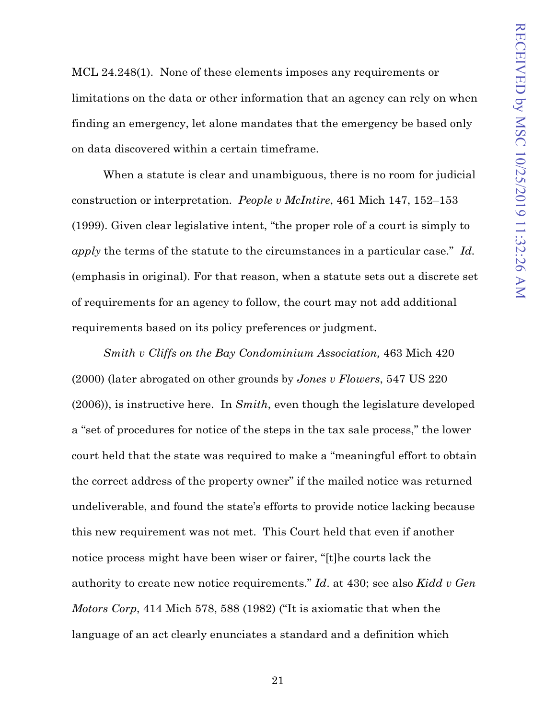MCL 24.248(1). None of these elements imposes any requirements or limitations on the data or other information that an agency can rely on when finding an emergency, let alone mandates that the emergency be based only on data discovered within a certain timeframe.

When a statute is clear and unambiguous, there is no room for judicial construction or interpretation. *People v McIntire*, 461 Mich 147, 152–153 (1999). Given clear legislative intent, "the proper role of a court is simply to *apply* the terms of the statute to the circumstances in a particular case." *Id.*  (emphasis in original). For that reason, when a statute sets out a discrete set of requirements for an agency to follow, the court may not add additional requirements based on its policy preferences or judgment.

*Smith v Cliffs on the Bay Condominium Association,* 463 Mich 420 (2000) (later abrogated on other grounds by *Jones v Flowers*, 547 US 220 (2006)), is instructive here. In *Smith*, even though the legislature developed a "set of procedures for notice of the steps in the tax sale process," the lower court held that the state was required to make a "meaningful effort to obtain the correct address of the property owner" if the mailed notice was returned undeliverable, and found the state's efforts to provide notice lacking because this new requirement was not met. This Court held that even if another notice process might have been wiser or fairer, "[t]he courts lack the authority to create new notice requirements." *Id*. at 430; see also *Kidd v Gen Motors Corp*, 414 Mich 578, 588 (1982) ("It is axiomatic that when the language of an act clearly enunciates a standard and a definition which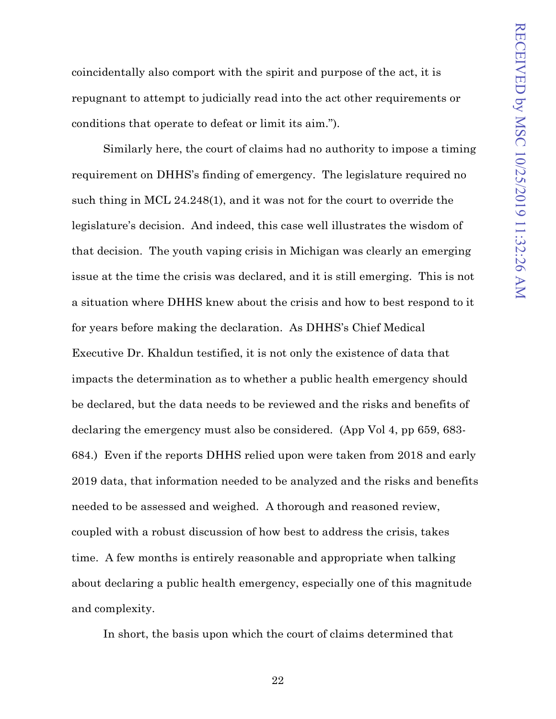coincidentally also comport with the spirit and purpose of the act, it is repugnant to attempt to judicially read into the act other requirements or conditions that operate to defeat or limit its aim.").

Similarly here, the court of claims had no authority to impose a timing requirement on DHHS's finding of emergency. The legislature required no such thing in MCL 24.248(1), and it was not for the court to override the legislature's decision. And indeed, this case well illustrates the wisdom of that decision. The youth vaping crisis in Michigan was clearly an emerging issue at the time the crisis was declared, and it is still emerging. This is not a situation where DHHS knew about the crisis and how to best respond to it for years before making the declaration. As DHHS's Chief Medical Executive Dr. Khaldun testified, it is not only the existence of data that impacts the determination as to whether a public health emergency should be declared, but the data needs to be reviewed and the risks and benefits of declaring the emergency must also be considered. (App Vol 4, pp 659, 683- 684.) Even if the reports DHHS relied upon were taken from 2018 and early 2019 data, that information needed to be analyzed and the risks and benefits needed to be assessed and weighed. A thorough and reasoned review, coupled with a robust discussion of how best to address the crisis, takes time. A few months is entirely reasonable and appropriate when talking about declaring a public health emergency, especially one of this magnitude and complexity.

In short, the basis upon which the court of claims determined that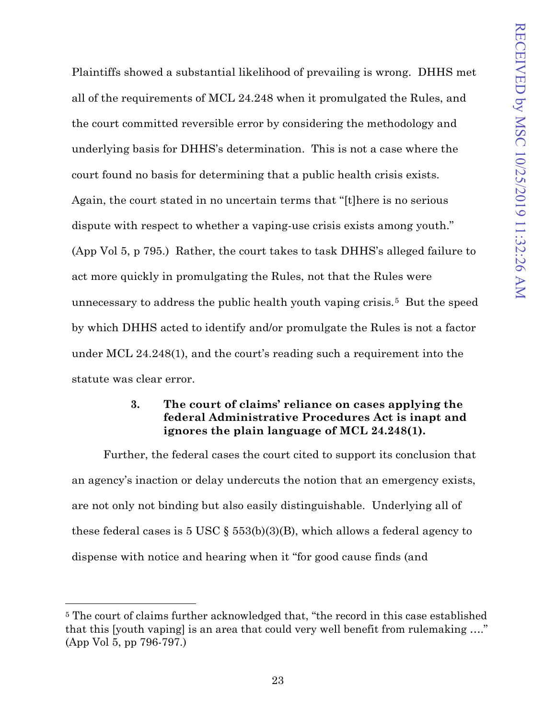Plaintiffs showed a substantial likelihood of prevailing is wrong. DHHS met all of the requirements of MCL 24.248 when it promulgated the Rules, and the court committed reversible error by considering the methodology and underlying basis for DHHS's determination. This is not a case where the court found no basis for determining that a public health crisis exists. Again, the court stated in no uncertain terms that "[t]here is no serious dispute with respect to whether a vaping-use crisis exists among youth." (App Vol 5, p 795.) Rather, the court takes to task DHHS's alleged failure to act more quickly in promulgating the Rules, not that the Rules were unnecessary to address the public health youth vaping crisis.[5](#page-34-1) But the speed by which DHHS acted to identify and/or promulgate the Rules is not a factor under MCL 24.248(1), and the court's reading such a requirement into the statute was clear error.

## **3. The court of claims' reliance on cases applying the federal Administrative Procedures Act is inapt and ignores the plain language of MCL 24.248(1).**

<span id="page-34-0"></span>Further, the federal cases the court cited to support its conclusion that an agency's inaction or delay undercuts the notion that an emergency exists, are not only not binding but also easily distinguishable. Underlying all of these federal cases is 5 USC  $\S$  553(b)(3)(B), which allows a federal agency to dispense with notice and hearing when it "for good cause finds (and

<span id="page-34-1"></span><sup>5</sup> The court of claims further acknowledged that, "the record in this case established that this [youth vaping] is an area that could very well benefit from rulemaking …." (App Vol 5, pp 796-797.)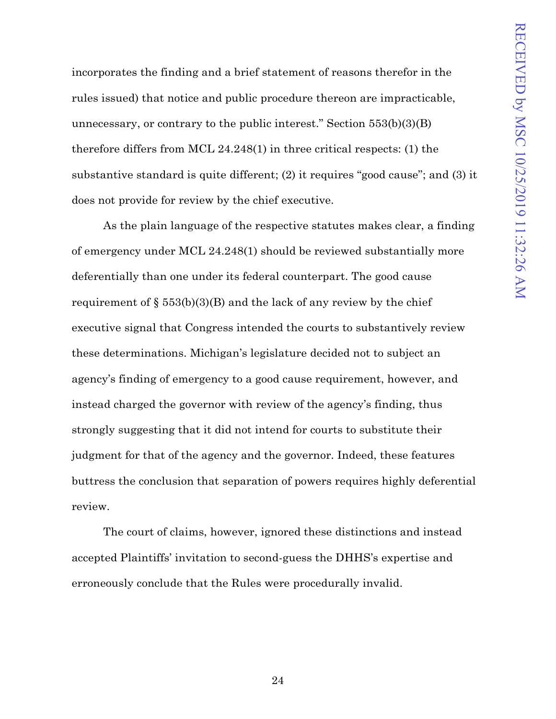incorporates the finding and a brief statement of reasons therefor in the rules issued) that notice and public procedure thereon are impracticable, unnecessary, or contrary to the public interest." Section  $553(b)(3)(B)$ therefore differs from MCL 24.248(1) in three critical respects: (1) the substantive standard is quite different; (2) it requires "good cause"; and (3) it does not provide for review by the chief executive.

As the plain language of the respective statutes makes clear, a finding of emergency under MCL 24.248(1) should be reviewed substantially more deferentially than one under its federal counterpart. The good cause requirement of  $\S$  553(b)(3)(B) and the lack of any review by the chief executive signal that Congress intended the courts to substantively review these determinations. Michigan's legislature decided not to subject an agency's finding of emergency to a good cause requirement, however, and instead charged the governor with review of the agency's finding, thus strongly suggesting that it did not intend for courts to substitute their judgment for that of the agency and the governor. Indeed, these features buttress the conclusion that separation of powers requires highly deferential review.

The court of claims, however, ignored these distinctions and instead accepted Plaintiffs' invitation to second-guess the DHHS's expertise and erroneously conclude that the Rules were procedurally invalid.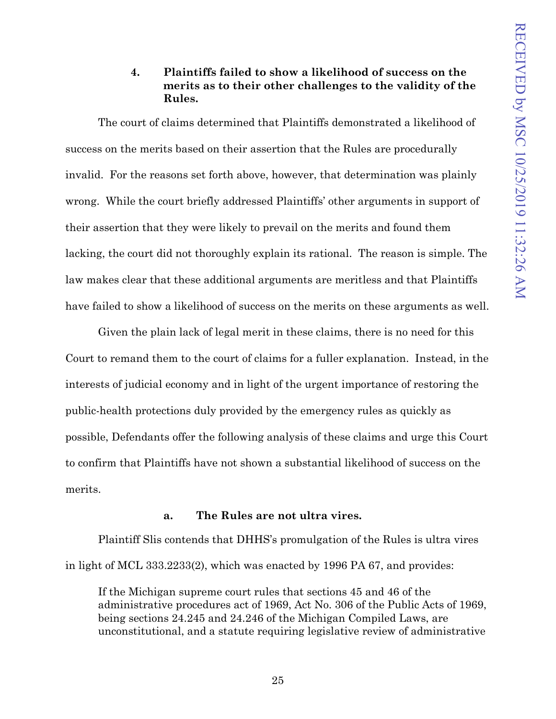### **4. Plaintiffs failed to show a likelihood of success on the merits as to their other challenges to the validity of the Rules.**

<span id="page-36-0"></span>The court of claims determined that Plaintiffs demonstrated a likelihood of success on the merits based on their assertion that the Rules are procedurally invalid. For the reasons set forth above, however, that determination was plainly wrong. While the court briefly addressed Plaintiffs' other arguments in support of their assertion that they were likely to prevail on the merits and found them lacking, the court did not thoroughly explain its rational. The reason is simple. The law makes clear that these additional arguments are meritless and that Plaintiffs have failed to show a likelihood of success on the merits on these arguments as well.

Given the plain lack of legal merit in these claims, there is no need for this Court to remand them to the court of claims for a fuller explanation. Instead, in the interests of judicial economy and in light of the urgent importance of restoring the public-health protections duly provided by the emergency rules as quickly as possible, Defendants offer the following analysis of these claims and urge this Court to confirm that Plaintiffs have not shown a substantial likelihood of success on the merits.

#### **a. The Rules are not ultra vires.**

<span id="page-36-1"></span>Plaintiff Slis contends that DHHS's promulgation of the Rules is ultra vires in light of MCL 333.2233(2), which was enacted by 1996 PA 67, and provides:

If the Michigan supreme court rules that sections 45 and 46 of the administrative procedures act of 1969, Act No. 306 of the Public Acts of 1969, being sections 24.245 and 24.246 of the Michigan Compiled Laws, are unconstitutional, and a statute requiring legislative review of administrative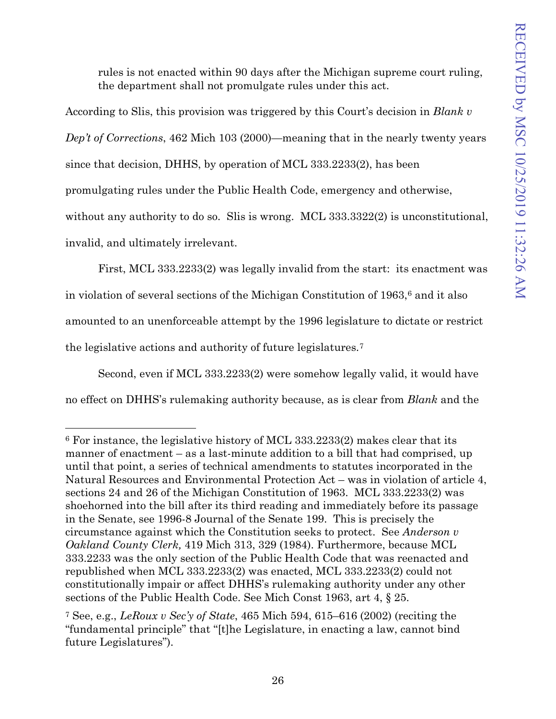rules is not enacted within 90 days after the Michigan supreme court ruling, the department shall not promulgate rules under this act.

According to Slis, this provision was triggered by this Court's decision in *Blank v Dep't of Corrections*, 462 Mich 103 (2000)—meaning that in the nearly twenty years since that decision, DHHS, by operation of MCL 333.2233(2), has been promulgating rules under the Public Health Code, emergency and otherwise, without any authority to do so. Slis is wrong. MCL 333.3322(2) is unconstitutional, invalid, and ultimately irrelevant.

First, MCL 333.2233(2) was legally invalid from the start: its enactment was in violation of several sections of the Michigan Constitution of 1963,[6](#page-37-0) and it also amounted to an unenforceable attempt by the 1996 legislature to dictate or restrict the legislative actions and authority of future legislatures.[7](#page-37-1) 

Second, even if MCL 333.2233(2) were somehow legally valid, it would have

no effect on DHHS's rulemaking authority because, as is clear from *Blank* and the

<span id="page-37-0"></span> $6$  For instance, the legislative history of MCL 333.2233(2) makes clear that its manner of enactment – as a last-minute addition to a bill that had comprised, up until that point, a series of technical amendments to statutes incorporated in the Natural Resources and Environmental Protection Act – was in violation of article 4, sections 24 and 26 of the Michigan Constitution of 1963. MCL 333.2233(2) was shoehorned into the bill after its third reading and immediately before its passage in the Senate, see 1996-8 Journal of the Senate 199. This is precisely the circumstance against which the Constitution seeks to protect. See *Anderson v Oakland County Clerk,* 419 Mich 313, 329 (1984). Furthermore, because MCL 333.2233 was the only section of the Public Health Code that was reenacted and republished when MCL 333.2233(2) was enacted, MCL 333.2233(2) could not constitutionally impair or affect DHHS's rulemaking authority under any other sections of the Public Health Code. See Mich Const 1963, art 4, § 25.

<span id="page-37-1"></span><sup>7</sup> See, e.g., *LeRoux v Sec'y of State*, 465 Mich 594, 615–616 (2002) (reciting the "fundamental principle" that "[t]he Legislature, in enacting a law, cannot bind future Legislatures").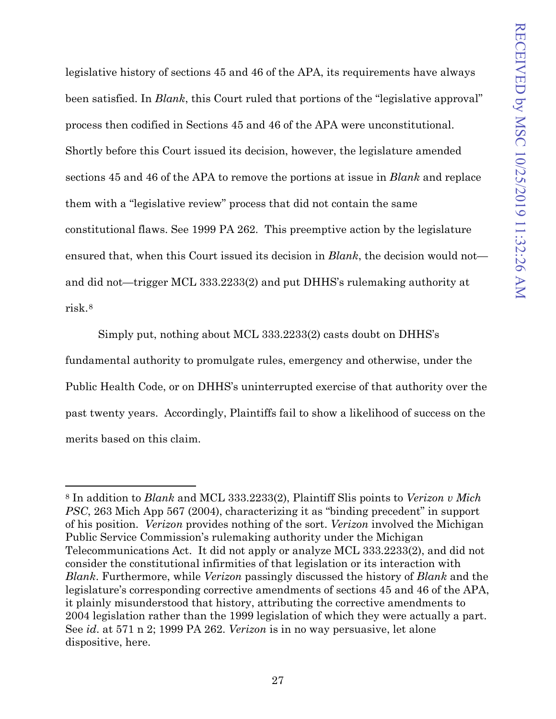legislative history of sections 45 and 46 of the APA, its requirements have always been satisfied. In *Blank*, this Court ruled that portions of the "legislative approval" process then codified in Sections 45 and 46 of the APA were unconstitutional. Shortly before this Court issued its decision, however, the legislature amended sections 45 and 46 of the APA to remove the portions at issue in *Blank* and replace them with a "legislative review" process that did not contain the same constitutional flaws. See 1999 PA 262. This preemptive action by the legislature ensured that, when this Court issued its decision in *Blank*, the decision would not and did not—trigger MCL 333.2233(2) and put DHHS's rulemaking authority at risk.[8](#page-38-0)

Simply put, nothing about MCL 333.2233(2) casts doubt on DHHS's fundamental authority to promulgate rules, emergency and otherwise, under the Public Health Code, or on DHHS's uninterrupted exercise of that authority over the past twenty years. Accordingly, Plaintiffs fail to show a likelihood of success on the merits based on this claim.

<span id="page-38-0"></span><sup>8</sup> In addition to *Blank* and MCL 333.2233(2), Plaintiff Slis points to *Verizon v Mich PSC*, 263 Mich App 567 (2004), characterizing it as "binding precedent" in support of his position. *Verizon* provides nothing of the sort. *Verizon* involved the Michigan Public Service Commission's rulemaking authority under the Michigan Telecommunications Act. It did not apply or analyze MCL 333.2233(2), and did not consider the constitutional infirmities of that legislation or its interaction with *Blank*. Furthermore, while *Verizon* passingly discussed the history of *Blank* and the legislature's corresponding corrective amendments of sections 45 and 46 of the APA, it plainly misunderstood that history, attributing the corrective amendments to 2004 legislation rather than the 1999 legislation of which they were actually a part. See *id*. at 571 n 2; 1999 PA 262. *Verizon* is in no way persuasive, let alone dispositive, here.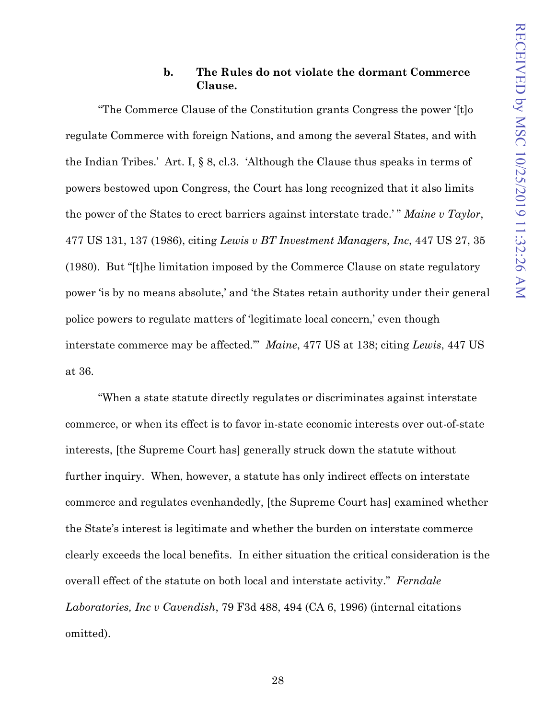### **b. The Rules do not violate the dormant Commerce Clause.**

<span id="page-39-0"></span>"The Commerce Clause of the Constitution grants Congress the power '[t]o regulate Commerce with foreign Nations, and among the several States, and with the Indian Tribes.' Art. I, § 8, cl.3. 'Although the Clause thus speaks in terms of powers bestowed upon Congress, the Court has long recognized that it also limits the power of the States to erect barriers against interstate trade.' " *Maine v Taylor*, 477 US 131, 137 (1986), citing *Lewis v BT Investment Managers, Inc*, 447 US 27, 35 (1980). But "[t]he limitation imposed by the Commerce Clause on state regulatory power 'is by no means absolute,' and 'the States retain authority under their general police powers to regulate matters of 'legitimate local concern,' even though interstate commerce may be affected.'" *Maine*, 477 US at 138; citing *Lewis*, 447 US at 36.

"When a state statute directly regulates or discriminates against interstate commerce, or when its effect is to favor in-state economic interests over out-of-state interests, [the Supreme Court has] generally struck down the statute without further inquiry. When, however, a statute has only indirect effects on interstate commerce and regulates evenhandedly, [the Supreme Court has] examined whether the State's interest is legitimate and whether the burden on interstate commerce clearly exceeds the local benefits. In either situation the critical consideration is the overall effect of the statute on both local and interstate activity." *Ferndale Laboratories, Inc v Cavendish*, 79 F3d 488, 494 (CA 6, 1996) (internal citations omitted).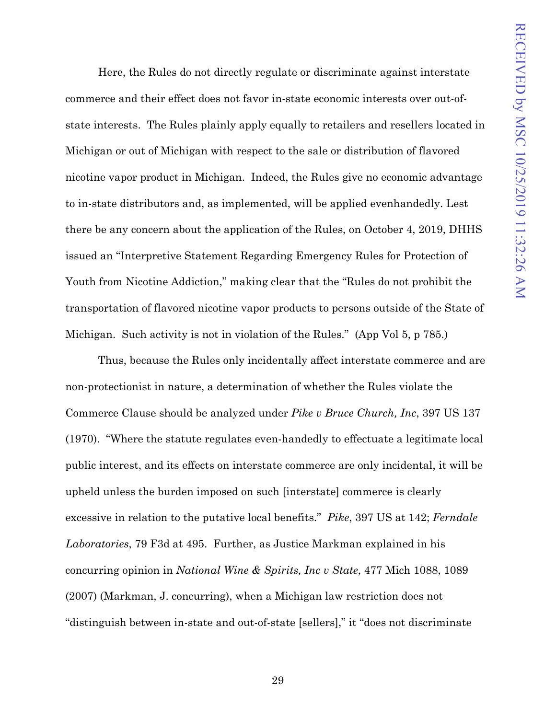Here, the Rules do not directly regulate or discriminate against interstate commerce and their effect does not favor in-state economic interests over out-ofstate interests. The Rules plainly apply equally to retailers and resellers located in Michigan or out of Michigan with respect to the sale or distribution of flavored nicotine vapor product in Michigan. Indeed, the Rules give no economic advantage to in-state distributors and, as implemented, will be applied evenhandedly. Lest there be any concern about the application of the Rules, on October 4, 2019, DHHS issued an "Interpretive Statement Regarding Emergency Rules for Protection of Youth from Nicotine Addiction," making clear that the "Rules do not prohibit the transportation of flavored nicotine vapor products to persons outside of the State of Michigan. Such activity is not in violation of the Rules." (App Vol 5, p 785.)

Thus, because the Rules only incidentally affect interstate commerce and are non-protectionist in nature, a determination of whether the Rules violate the Commerce Clause should be analyzed under *Pike v Bruce Church, Inc*, 397 US 137 (1970). "Where the statute regulates even-handedly to effectuate a legitimate local public interest, and its effects on interstate commerce are only incidental, it will be upheld unless the burden imposed on such [interstate] commerce is clearly excessive in relation to the putative local benefits." *Pike*, 397 US at 142; *Ferndale Laboratories*, 79 F3d at 495. Further, as Justice Markman explained in his concurring opinion in *National Wine & Spirits, Inc v State*, 477 Mich 1088, 1089 (2007) (Markman, J. concurring), when a Michigan law restriction does not "distinguish between in-state and out-of-state [sellers]," it "does not discriminate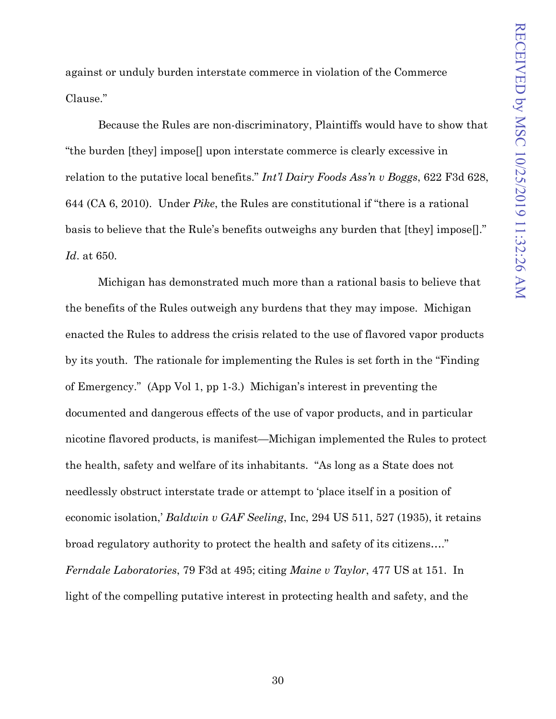against or unduly burden interstate commerce in violation of the Commerce Clause."

Because the Rules are non-discriminatory, Plaintiffs would have to show that "the burden [they] impose[] upon interstate commerce is clearly excessive in relation to the putative local benefits." *Int'l Dairy Foods Ass'n v Boggs*, 622 F3d 628, 644 (CA 6, 2010). Under *Pike*, the Rules are constitutional if "there is a rational basis to believe that the Rule's benefits outweighs any burden that [they] impose[]." *Id*. at 650.

Michigan has demonstrated much more than a rational basis to believe that the benefits of the Rules outweigh any burdens that they may impose. Michigan enacted the Rules to address the crisis related to the use of flavored vapor products by its youth. The rationale for implementing the Rules is set forth in the "Finding of Emergency." (App Vol 1, pp 1-3.) Michigan's interest in preventing the documented and dangerous effects of the use of vapor products, and in particular nicotine flavored products, is manifest—Michigan implemented the Rules to protect the health, safety and welfare of its inhabitants. "As long as a State does not needlessly obstruct interstate trade or attempt to 'place itself in a position of economic isolation,' *Baldwin v GAF Seeling*, Inc, 294 US 511, 527 (1935), it retains broad regulatory authority to protect the health and safety of its citizens…." *Ferndale Laboratories*, 79 F3d at 495; citing *Maine v Taylor*, 477 US at 151. In light of the compelling putative interest in protecting health and safety, and the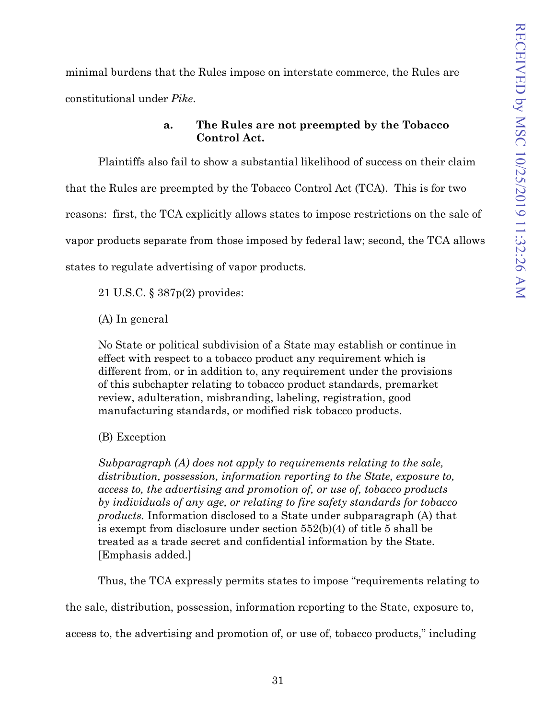minimal burdens that the Rules impose on interstate commerce, the Rules are constitutional under *Pike*.

## **a. The Rules are not preempted by the Tobacco Control Act.**

<span id="page-42-0"></span>Plaintiffs also fail to show a substantial likelihood of success on their claim that the Rules are preempted by the Tobacco Control Act (TCA). This is for two reasons: first, the TCA explicitly allows states to impose restrictions on the sale of vapor products separate from those imposed by federal law; second, the TCA allows states to regulate advertising of vapor products.

21 U.S.C. § 387p(2) provides:

(A) In general

No State or political subdivision of a State may establish or continue in effect with respect to a tobacco product any requirement which is different from, or in addition to, any requirement under the provisions of this subchapter relating to tobacco product standards, premarket review, adulteration, misbranding, labeling, registration, good manufacturing standards, or modified risk tobacco products.

(B) Exception

*Subparagraph (A) does not apply to requirements relating to the sale, distribution, possession, information reporting to the State, exposure to, access to, the advertising and promotion of, or use of, tobacco products by individuals of any age, or relating to fire safety standards for tobacco products.* Information disclosed to a State under subparagraph (A) that is exempt from disclosure under section 552(b)(4) of title 5 shall be treated as a trade secret and confidential information by the State. [Emphasis added.]

Thus, the TCA expressly permits states to impose "requirements relating to

the sale, distribution, possession, information reporting to the State, exposure to,

access to, the advertising and promotion of, or use of, tobacco products," including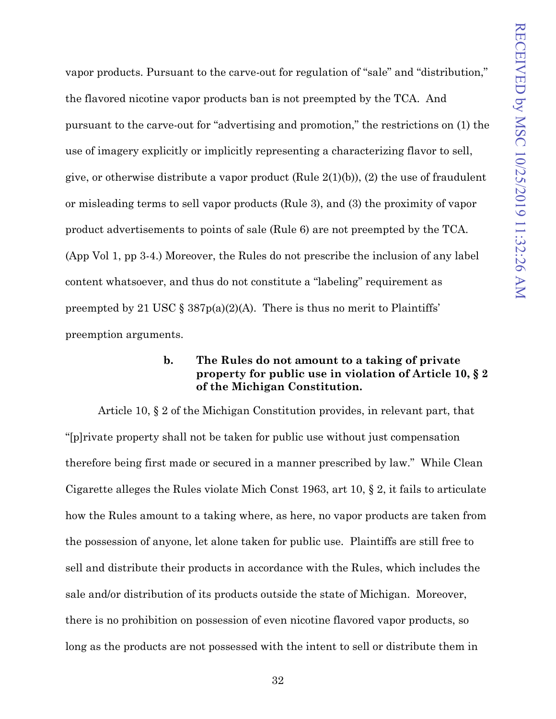vapor products. Pursuant to the carve-out for regulation of "sale" and "distribution," the flavored nicotine vapor products ban is not preempted by the TCA. And pursuant to the carve-out for "advertising and promotion," the restrictions on (1) the use of imagery explicitly or implicitly representing a characterizing flavor to sell, give, or otherwise distribute a vapor product (Rule  $2(1)(b)$ ), (2) the use of fraudulent or misleading terms to sell vapor products (Rule 3), and (3) the proximity of vapor product advertisements to points of sale (Rule 6) are not preempted by the TCA. (App Vol 1, pp 3-4.) Moreover, the Rules do not prescribe the inclusion of any label content whatsoever, and thus do not constitute a "labeling" requirement as preempted by 21 USC §  $387p(a)(2)(A)$ . There is thus no merit to Plaintiffs' preemption arguments.

### **b. The Rules do not amount to a taking of private property for public use in violation of Article 10, § 2 of the Michigan Constitution.**

<span id="page-43-0"></span>Article 10, § 2 of the Michigan Constitution provides, in relevant part, that "[p]rivate property shall not be taken for public use without just compensation therefore being first made or secured in a manner prescribed by law." While Clean Cigarette alleges the Rules violate Mich Const 1963, art 10, § 2, it fails to articulate how the Rules amount to a taking where, as here, no vapor products are taken from the possession of anyone, let alone taken for public use. Plaintiffs are still free to sell and distribute their products in accordance with the Rules, which includes the sale and/or distribution of its products outside the state of Michigan. Moreover, there is no prohibition on possession of even nicotine flavored vapor products, so long as the products are not possessed with the intent to sell or distribute them in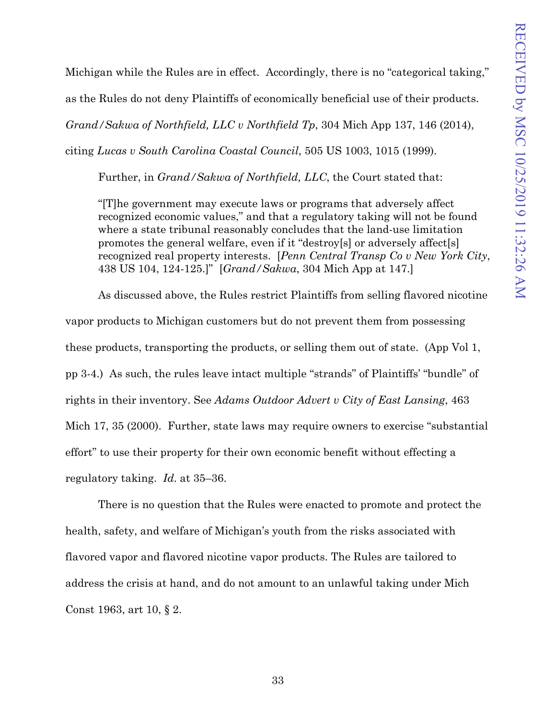Michigan while the Rules are in effect. Accordingly, there is no "categorical taking," as the Rules do not deny Plaintiffs of economically beneficial use of their products. *Grand/Sakwa of Northfield, LLC v Northfield Tp*, 304 Mich App 137, 146 (2014), citing *Lucas v South Carolina Coastal Council*, 505 US 1003, 1015 (1999).

Further, in *Grand/Sakwa of Northfield, LLC*, the Court stated that:

"[T]he government may execute laws or programs that adversely affect recognized economic values," and that a regulatory taking will not be found where a state tribunal reasonably concludes that the land-use limitation promotes the general welfare, even if it "destroy[s] or adversely affect[s] recognized real property interests. [*Penn Central Transp Co v New York City*, 438 US 104, 124-125.]" [*Grand/Sakwa*, 304 Mich App at 147.]

As discussed above, the Rules restrict Plaintiffs from selling flavored nicotine vapor products to Michigan customers but do not prevent them from possessing these products, transporting the products, or selling them out of state. (App Vol 1, pp 3-4.) As such, the rules leave intact multiple "strands" of Plaintiffs' "bundle" of rights in their inventory. See *Adams Outdoor Advert v City of East Lansing*, 463 Mich 17, 35 (2000). Further, state laws may require owners to exercise "substantial effort" to use their property for their own economic benefit without effecting a regulatory taking. *Id*. at 35–36.

There is no question that the Rules were enacted to promote and protect the health, safety, and welfare of Michigan's youth from the risks associated with flavored vapor and flavored nicotine vapor products. The Rules are tailored to address the crisis at hand, and do not amount to an unlawful taking under Mich Const 1963, art 10, § 2.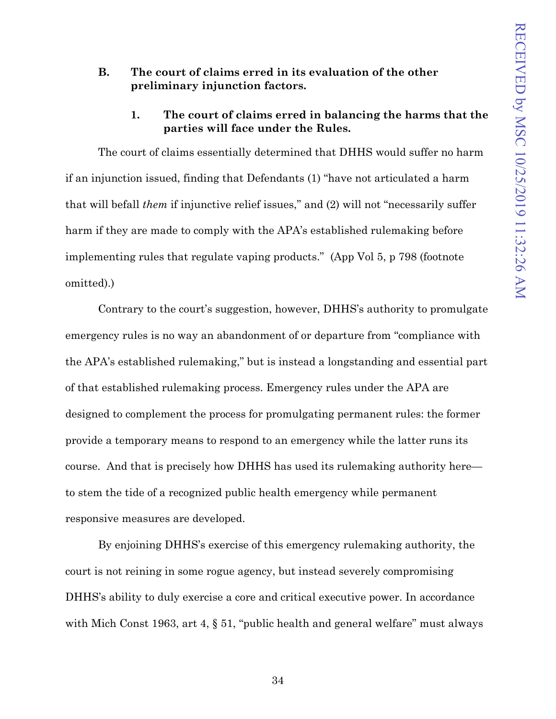### <span id="page-45-0"></span>**B. The court of claims erred in its evaluation of the other preliminary injunction factors.**

## **1. The court of claims erred in balancing the harms that the parties will face under the Rules.**

<span id="page-45-1"></span>The court of claims essentially determined that DHHS would suffer no harm if an injunction issued, finding that Defendants (1) "have not articulated a harm that will befall *them* if injunctive relief issues," and (2) will not "necessarily suffer harm if they are made to comply with the APA's established rulemaking before implementing rules that regulate vaping products." (App Vol 5, p 798 (footnote omitted).)

Contrary to the court's suggestion, however, DHHS's authority to promulgate emergency rules is no way an abandonment of or departure from "compliance with the APA's established rulemaking," but is instead a longstanding and essential part of that established rulemaking process. Emergency rules under the APA are designed to complement the process for promulgating permanent rules: the former provide a temporary means to respond to an emergency while the latter runs its course. And that is precisely how DHHS has used its rulemaking authority here to stem the tide of a recognized public health emergency while permanent responsive measures are developed.

By enjoining DHHS's exercise of this emergency rulemaking authority, the court is not reining in some rogue agency, but instead severely compromising DHHS's ability to duly exercise a core and critical executive power. In accordance with Mich Const 1963, art 4, § 51, "public health and general welfare" must always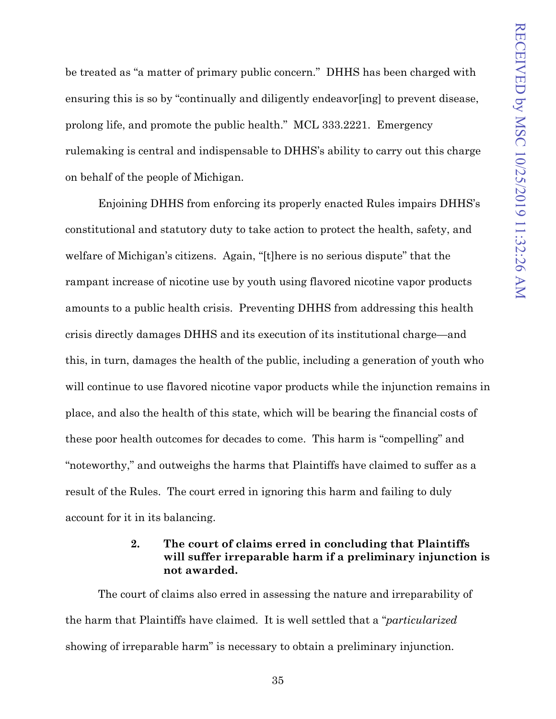be treated as "a matter of primary public concern." DHHS has been charged with ensuring this is so by "continually and diligently endeavor [ing] to prevent disease, prolong life, and promote the public health." MCL 333.2221. Emergency rulemaking is central and indispensable to DHHS's ability to carry out this charge on behalf of the people of Michigan.

Enjoining DHHS from enforcing its properly enacted Rules impairs DHHS's constitutional and statutory duty to take action to protect the health, safety, and welfare of Michigan's citizens. Again, "[t]here is no serious dispute" that the rampant increase of nicotine use by youth using flavored nicotine vapor products amounts to a public health crisis. Preventing DHHS from addressing this health crisis directly damages DHHS and its execution of its institutional charge—and this, in turn, damages the health of the public, including a generation of youth who will continue to use flavored nicotine vapor products while the injunction remains in place, and also the health of this state, which will be bearing the financial costs of these poor health outcomes for decades to come. This harm is "compelling" and "noteworthy," and outweighs the harms that Plaintiffs have claimed to suffer as a result of the Rules. The court erred in ignoring this harm and failing to duly account for it in its balancing.

## **2. The court of claims erred in concluding that Plaintiffs will suffer irreparable harm if a preliminary injunction is not awarded.**

<span id="page-46-0"></span>The court of claims also erred in assessing the nature and irreparability of the harm that Plaintiffs have claimed. It is well settled that a "*particularized* showing of irreparable harm" is necessary to obtain a preliminary injunction.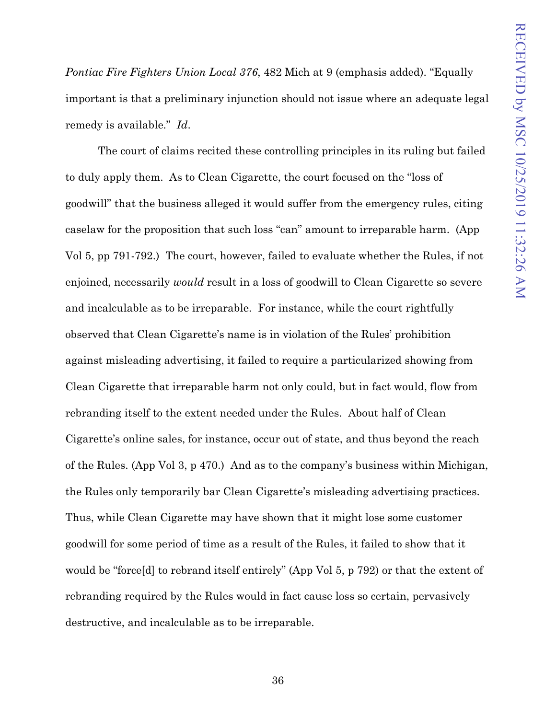*Pontiac Fire Fighters Union Local 376, 482 Mich at 9 (emphasis added).* "Equally important is that a preliminary injunction should not issue where an adequate legal remedy is available." *Id*.

The court of claims recited these controlling principles in its ruling but failed to duly apply them. As to Clean Cigarette, the court focused on the "loss of goodwill" that the business alleged it would suffer from the emergency rules, citing caselaw for the proposition that such loss "can" amount to irreparable harm. (App Vol 5, pp 791-792.) The court, however, failed to evaluate whether the Rules, if not enjoined, necessarily *would* result in a loss of goodwill to Clean Cigarette so severe and incalculable as to be irreparable. For instance, while the court rightfully observed that Clean Cigarette's name is in violation of the Rules' prohibition against misleading advertising, it failed to require a particularized showing from Clean Cigarette that irreparable harm not only could, but in fact would, flow from rebranding itself to the extent needed under the Rules. About half of Clean Cigarette's online sales, for instance, occur out of state, and thus beyond the reach of the Rules. (App Vol 3, p 470.) And as to the company's business within Michigan, the Rules only temporarily bar Clean Cigarette's misleading advertising practices. Thus, while Clean Cigarette may have shown that it might lose some customer goodwill for some period of time as a result of the Rules, it failed to show that it would be "force[d] to rebrand itself entirely" (App Vol 5, p 792) or that the extent of rebranding required by the Rules would in fact cause loss so certain, pervasively destructive, and incalculable as to be irreparable.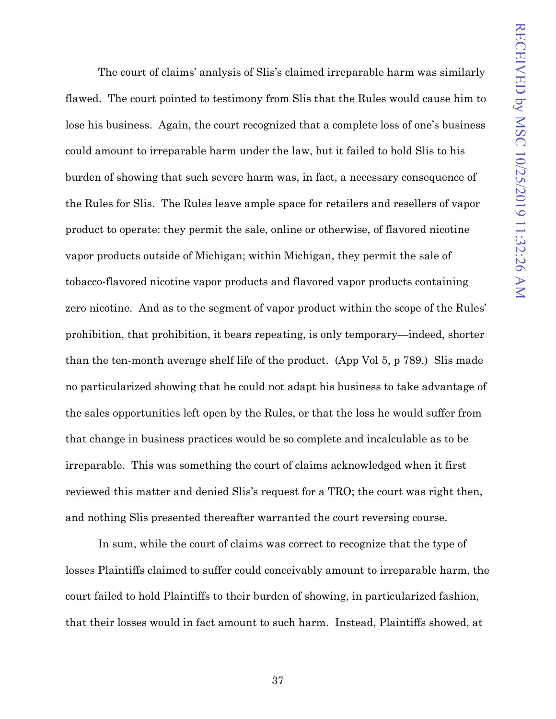The court of claims' analysis of Slis's claimed irreparable harm was similarly flawed. The court pointed to testimony from Slis that the Rules would cause him to lose his business. Again, the court recognized that a complete loss of one's business could amount to irreparable harm under the law, but it failed to hold Slis to his burden of showing that such severe harm was, in fact, a necessary consequence of the Rules for Slis. The Rules leave ample space for retailers and resellers of vapor product to operate: they permit the sale, online or otherwise, of flavored nicotine vapor products outside of Michigan; within Michigan, they permit the sale of tobacco-flavored nicotine vapor products and flavored vapor products containing zero nicotine. And as to the segment of vapor product within the scope of the Rules' prohibition, that prohibition, it bears repeating, is only temporary—indeed, shorter than the ten-month average shelf life of the product. (App Vol 5, p 789.) Slis made no particularized showing that he could not adapt his business to take advantage of the sales opportunities left open by the Rules, or that the loss he would suffer from that change in business practices would be so complete and incalculable as to be irreparable. This was something the court of claims acknowledged when it first reviewed this matter and denied Slis's request for a TRO; the court was right then, and nothing Slis presented thereafter warranted the court reversing course.

In sum, while the court of claims was correct to recognize that the type of losses Plaintiffs claimed to suffer could conceivably amount to irreparable harm, the court failed to hold Plaintiffs to their burden of showing, in particularized fashion, that their losses would in fact amount to such harm. Instead, Plaintiffs showed, at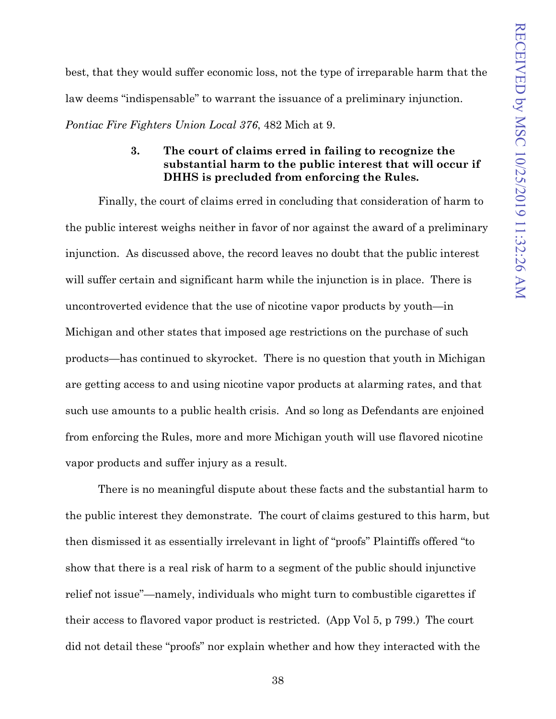best, that they would suffer economic loss, not the type of irreparable harm that the law deems "indispensable" to warrant the issuance of a preliminary injunction.

<span id="page-49-0"></span>*Pontiac Fire Fighters Union Local 376*, 482 Mich at 9.

## **3. The court of claims erred in failing to recognize the substantial harm to the public interest that will occur if DHHS is precluded from enforcing the Rules.**

Finally, the court of claims erred in concluding that consideration of harm to the public interest weighs neither in favor of nor against the award of a preliminary injunction. As discussed above, the record leaves no doubt that the public interest will suffer certain and significant harm while the injunction is in place. There is uncontroverted evidence that the use of nicotine vapor products by youth—in Michigan and other states that imposed age restrictions on the purchase of such products—has continued to skyrocket. There is no question that youth in Michigan are getting access to and using nicotine vapor products at alarming rates, and that such use amounts to a public health crisis. And so long as Defendants are enjoined from enforcing the Rules, more and more Michigan youth will use flavored nicotine vapor products and suffer injury as a result.

There is no meaningful dispute about these facts and the substantial harm to the public interest they demonstrate. The court of claims gestured to this harm, but then dismissed it as essentially irrelevant in light of "proofs" Plaintiffs offered "to show that there is a real risk of harm to a segment of the public should injunctive relief not issue"—namely, individuals who might turn to combustible cigarettes if their access to flavored vapor product is restricted. (App Vol 5, p 799.) The court did not detail these "proofs" nor explain whether and how they interacted with the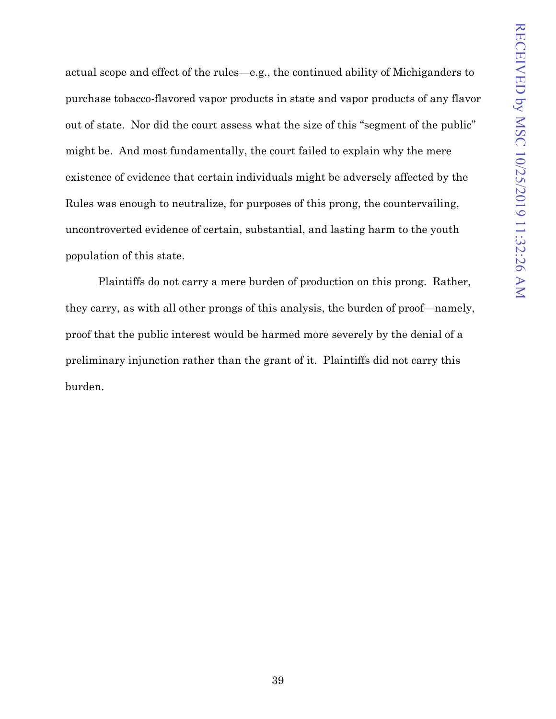actual scope and effect of the rules—e.g., the continued ability of Michiganders to purchase tobacco-flavored vapor products in state and vapor products of any flavor out of state. Nor did the court assess what the size of this "segment of the public" might be. And most fundamentally, the court failed to explain why the mere existence of evidence that certain individuals might be adversely affected by the Rules was enough to neutralize, for purposes of this prong, the countervailing, uncontroverted evidence of certain, substantial, and lasting harm to the youth population of this state.

Plaintiffs do not carry a mere burden of production on this prong. Rather, they carry, as with all other prongs of this analysis, the burden of proof—namely, proof that the public interest would be harmed more severely by the denial of a preliminary injunction rather than the grant of it. Plaintiffs did not carry this burden.